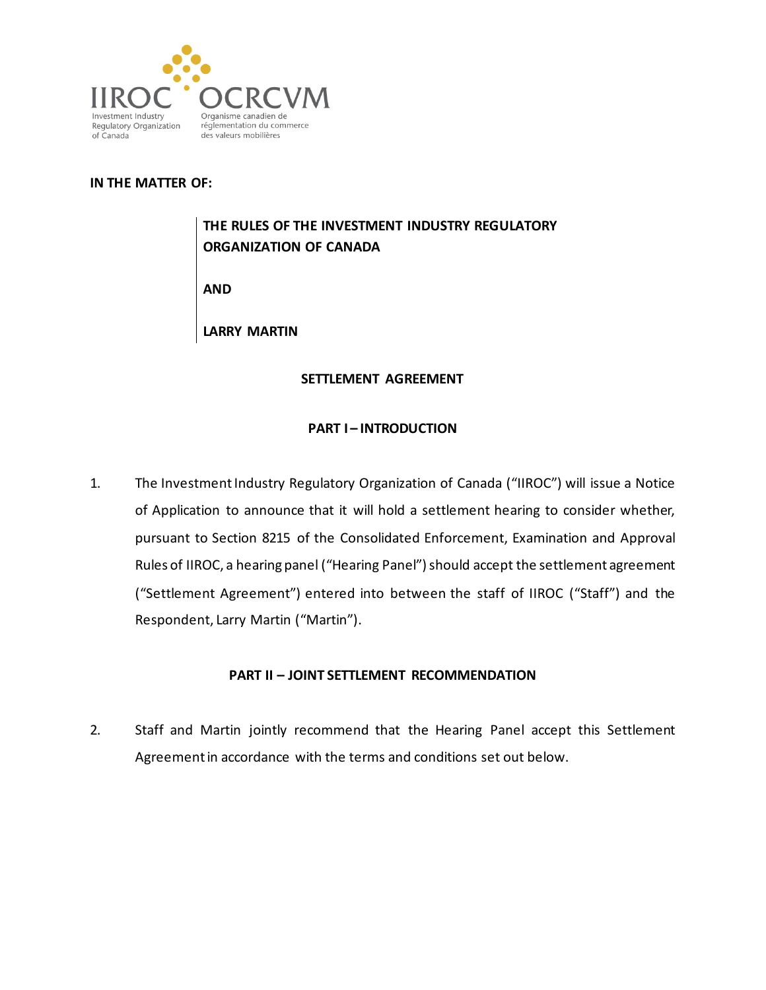

#### **IN THE MATTER OF:**

# **THE RULES OF THE INVESTMENT INDUSTRY REGULATORY ORGANIZATION OF CANADA**

**AND**

**LARRY MARTIN**

#### **SETTLEMENT AGREEMENT**

#### **PART I – INTRODUCTION**

1. The Investment Industry Regulatory Organization of Canada ("IIROC") will issue a Notice of Application to announce that it will hold a settlement hearing to consider whether, pursuant to Section 8215 of the Consolidated Enforcement, Examination and Approval Rules of IIROC, a hearing panel ("Hearing Panel") should accept the settlement agreement ("Settlement Agreement") entered into between the staff of IIROC ("Staff") and the Respondent, Larry Martin ("Martin").

#### **PART II – JOINT SETTLEMENT RECOMMENDATION**

2. Staff and Martin jointly recommend that the Hearing Panel accept this Settlement Agreement in accordance with the terms and conditions set out below.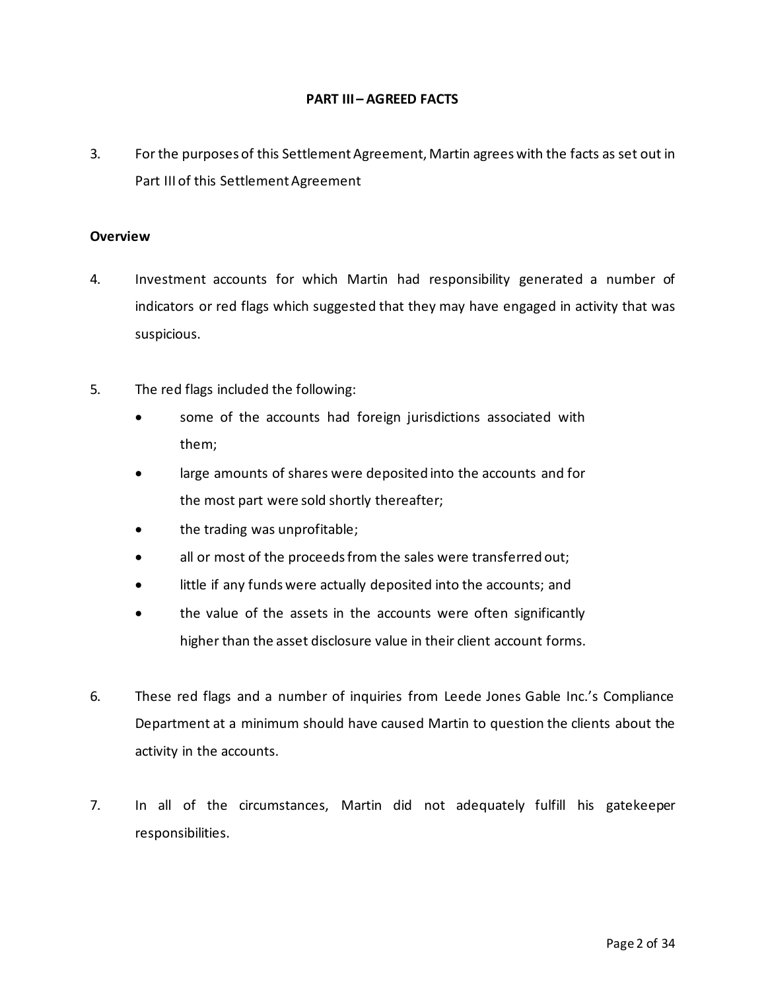#### **PART III – AGREED FACTS**

3. For the purposes of this Settlement Agreement, Martin agrees with the facts as set out in Part III of this Settlement Agreement

#### **Overview**

- 4. Investment accounts for which Martin had responsibility generated a number of indicators or red flags which suggested that they may have engaged in activity that was suspicious.
- 5. The red flags included the following:
	- some of the accounts had foreign jurisdictions associated with them;
	- large amounts of shares were deposited into the accounts and for the most part were sold shortly thereafter;
	- the trading was unprofitable;
	- all or most of the proceeds from the sales were transferred out;
	- little if any funds were actually deposited into the accounts; and
	- the value of the assets in the accounts were often significantly higher than the asset disclosure value in their client account forms.
- 6. These red flags and a number of inquiries from Leede Jones Gable Inc.'s Compliance Department at a minimum should have caused Martin to question the clients about the activity in the accounts.
- 7. In all of the circumstances, Martin did not adequately fulfill his gatekeeper responsibilities.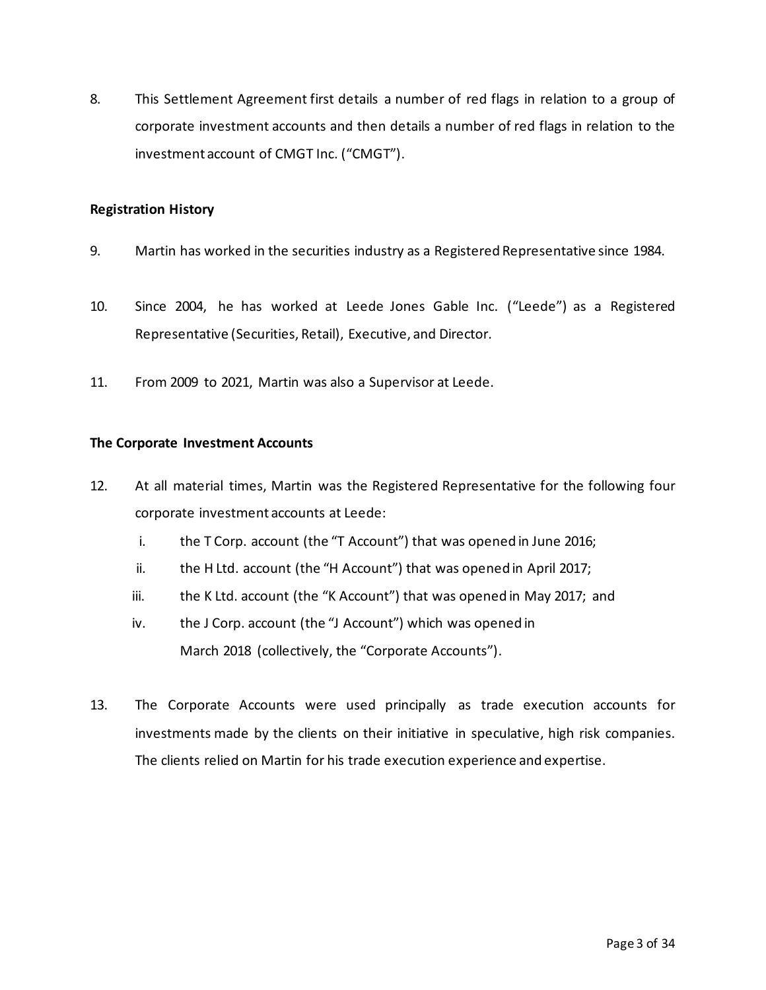8. This Settlement Agreement first details a number of red flags in relation to a group of corporate investment accounts and then details a number of red flags in relation to the investment account of CMGT Inc. ("CMGT").

#### **Registration History**

- 9. Martin has worked in the securities industry as a Registered Representative since 1984.
- 10. Since 2004, he has worked at Leede Jones Gable Inc. ("Leede") as a Registered Representative (Securities, Retail), Executive, and Director.
- 11. From 2009 to 2021, Martin was also a Supervisor at Leede.

#### **The Corporate Investment Accounts**

- 12. At all material times, Martin was the Registered Representative for the following four corporate investment accounts at Leede:
	- i. the T Corp. account (the "T Account") that was opened in June 2016;
	- ii. the H Ltd. account (the "H Account") that was opened in April 2017;
	- iii. the K Ltd. account (the "K Account") that was opened in May 2017; and
	- iv. the J Corp. account (the "J Account") which was opened in March 2018 (collectively, the "Corporate Accounts").
- 13. The Corporate Accounts were used principally as trade execution accounts for investments made by the clients on their initiative in speculative, high risk companies. The clients relied on Martin for his trade execution experience and expertise.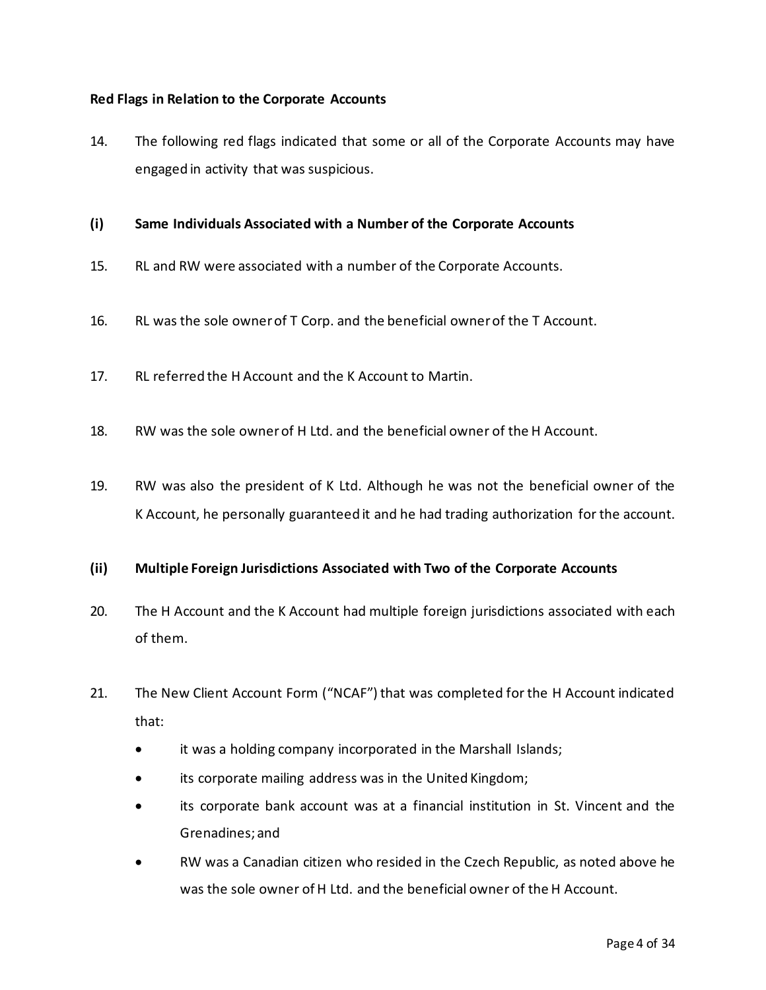#### **Red Flags in Relation to the Corporate Accounts**

- 14. The following red flags indicated that some or all of the Corporate Accounts may have engaged in activity that was suspicious.
- **(i) Same Individuals Associated with a Number of the Corporate Accounts**
- 15. RL and RW were associated with a number of the Corporate Accounts.
- 16. RL was the sole owner of T Corp. and the beneficial owner of the T Account.
- 17. RL referred the H Account and the K Account to Martin.
- 18. RW was the sole owner of H Ltd. and the beneficial owner of the H Account.
- 19. RW was also the president of K Ltd. Although he was not the beneficial owner of the K Account, he personally guaranteed it and he had trading authorization for the account.

#### **(ii) Multiple Foreign Jurisdictions Associated with Two of the Corporate Accounts**

- 20. The H Account and the K Account had multiple foreign jurisdictions associated with each of them.
- 21. The New Client Account Form ("NCAF") that was completed for the H Account indicated that:
	- it was a holding company incorporated in the Marshall Islands;
	- its corporate mailing address was in the United Kingdom;
	- its corporate bank account was at a financial institution in St. Vincent and the Grenadines; and
	- RW was a Canadian citizen who resided in the Czech Republic, as noted above he was the sole owner of H Ltd. and the beneficial owner of the H Account.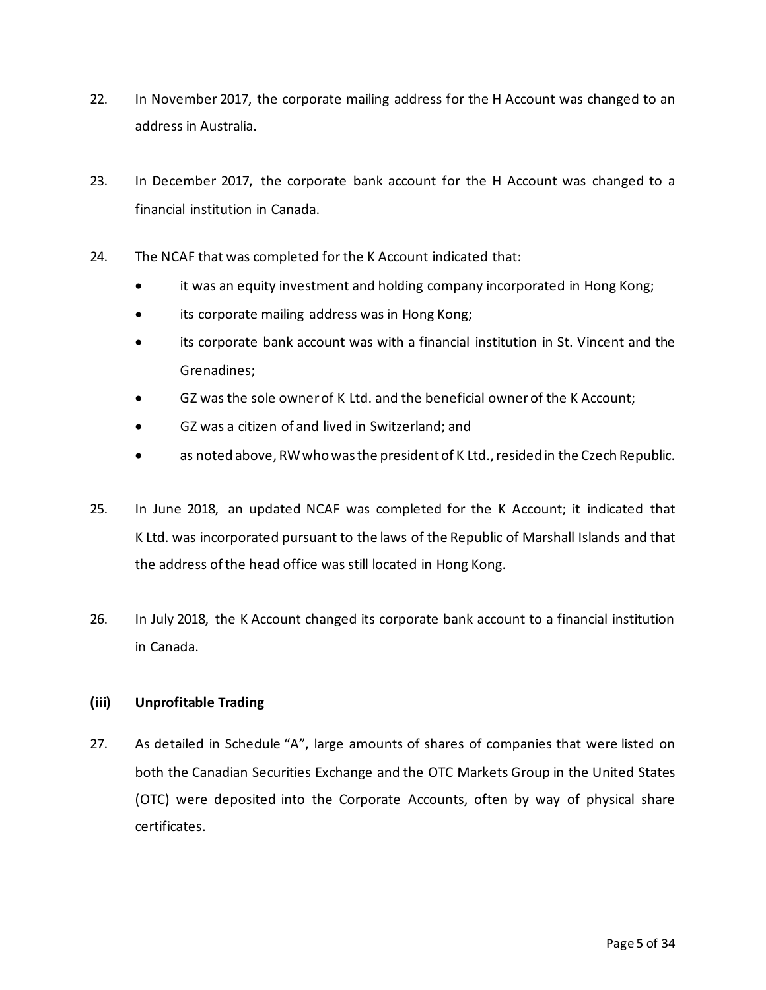- 22. In November 2017, the corporate mailing address for the H Account was changed to an address in Australia.
- 23. In December 2017, the corporate bank account for the H Account was changed to a financial institution in Canada.
- 24. The NCAF that was completed for the K Account indicated that:
	- it was an equity investment and holding company incorporated in Hong Kong;
	- its corporate mailing address was in Hong Kong;
	- its corporate bank account was with a financial institution in St. Vincent and the Grenadines;
	- GZ was the sole owner of K Ltd. and the beneficial owner of the K Account;
	- GZ was a citizen of and lived in Switzerland; and
	- as noted above, RW who was the president of K Ltd., resided in the Czech Republic.
- 25. In June 2018, an updated NCAF was completed for the K Account; it indicated that K Ltd. was incorporated pursuant to the laws of the Republic of Marshall Islands and that the address of the head office was still located in Hong Kong.
- 26. In July 2018, the K Account changed its corporate bank account to a financial institution in Canada.

#### **(iii) Unprofitable Trading**

27. As detailed in Schedule "A", large amounts of shares of companies that were listed on both the Canadian Securities Exchange and the OTC Markets Group in the United States (OTC) were deposited into the Corporate Accounts, often by way of physical share certificates.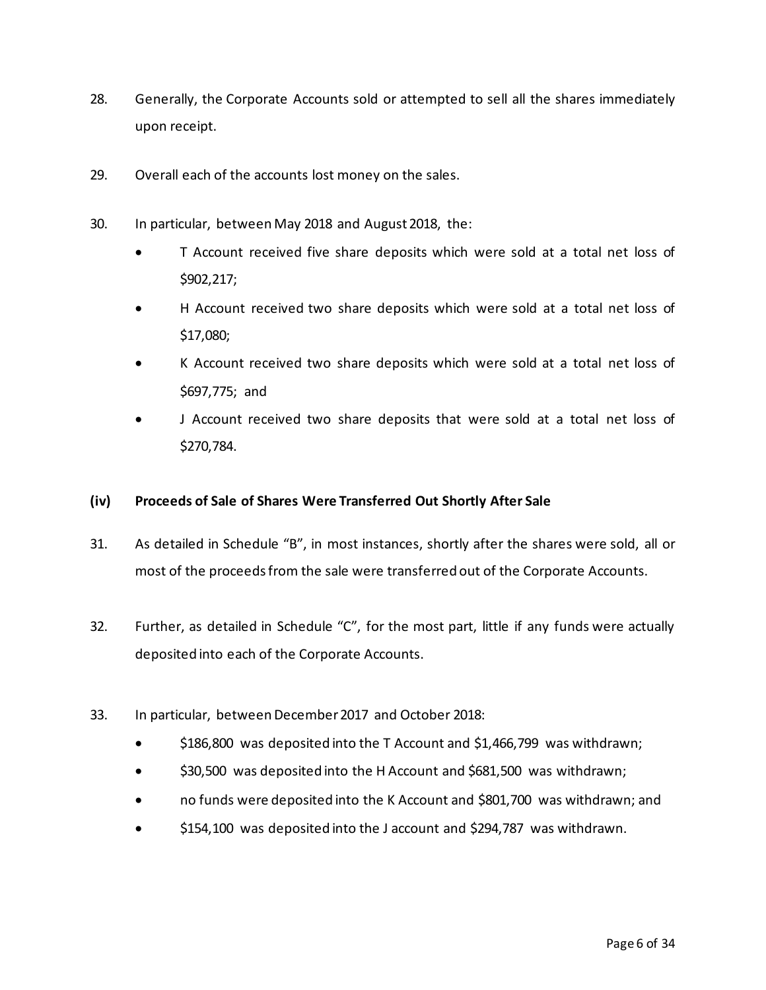- 28. Generally, the Corporate Accounts sold or attempted to sell all the shares immediately upon receipt.
- 29. Overall each of the accounts lost money on the sales.
- 30. In particular, between May 2018 and August 2018, the:
	- T Account received five share deposits which were sold at a total net loss of \$902,217;
	- H Account received two share deposits which were sold at a total net loss of \$17,080;
	- K Account received two share deposits which were sold at a total net loss of \$697,775; and
	- J Account received two share deposits that were sold at a total net loss of \$270,784.

#### **(iv) Proceeds of Sale of Shares Were Transferred Out Shortly After Sale**

- 31. As detailed in Schedule "B", in most instances, shortly after the shares were sold, all or most of the proceeds from the sale were transferred out of the Corporate Accounts.
- 32. Further, as detailed in Schedule "C", for the most part, little if any funds were actually deposited into each of the Corporate Accounts.
- 33. In particular, between December 2017 and October 2018:
	- \$186,800 was deposited into the T Account and \$1,466,799 was withdrawn;
	- \$30,500 was deposited into the H Account and \$681,500 was withdrawn;
	- no funds were deposited into the K Account and \$801,700 was withdrawn; and
	- \$154,100 was deposited into the J account and \$294,787 was withdrawn.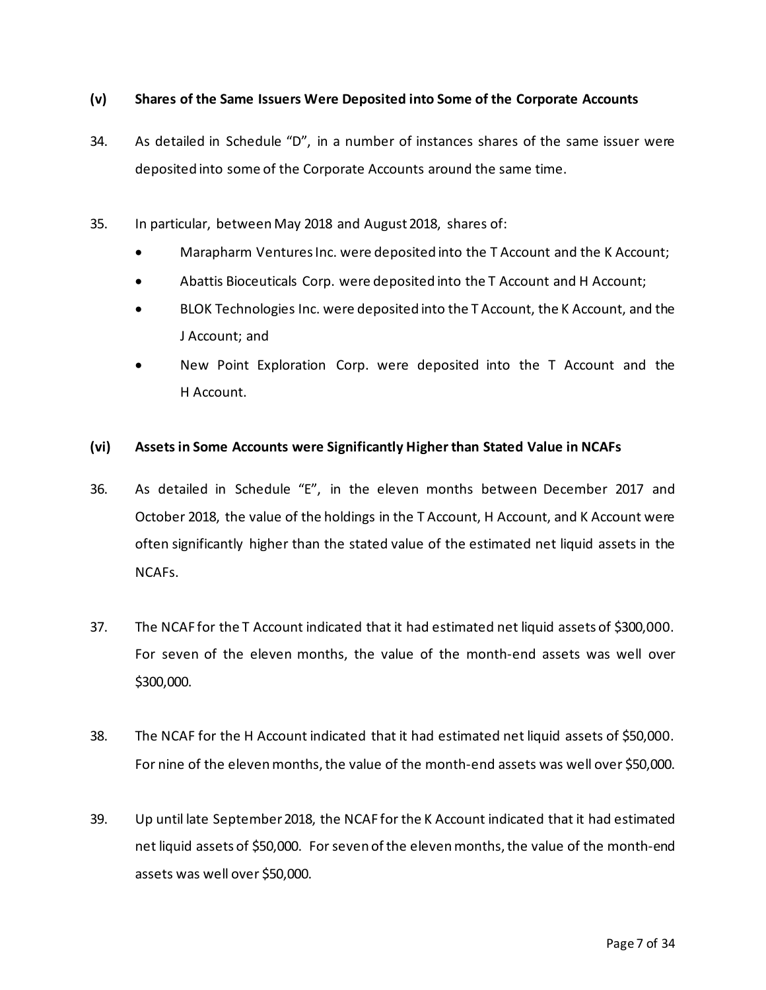#### **(v) Shares of the Same Issuers Were Deposited into Some of the Corporate Accounts**

- 34. As detailed in Schedule "D", in a number of instances shares of the same issuer were deposited into some of the Corporate Accounts around the same time.
- 35. In particular, between May 2018 and August 2018, shares of:
	- Marapharm Ventures Inc. were deposited into the T Account and the K Account;
	- Abattis Bioceuticals Corp. were deposited into the T Account and H Account;
	- BLOK Technologies Inc. were deposited into the T Account, the K Account, and the J Account; and
	- New Point Exploration Corp. were deposited into the T Account and the H Account.

#### **(vi) Assets in Some Accounts were Significantly Higher than Stated Value in NCAFs**

- 36. As detailed in Schedule "E", in the eleven months between December 2017 and October 2018, the value of the holdings in the T Account, H Account, and K Account were often significantly higher than the stated value of the estimated net liquid assets in the NCAFs.
- 37. The NCAF for the T Account indicated that it had estimated net liquid assets of \$300,000. For seven of the eleven months, the value of the month-end assets was well over \$300,000.
- 38. The NCAF for the H Account indicated that it had estimated net liquid assets of \$50,000. For nine of the eleven months, the value of the month-end assets was well over \$50,000.
- 39. Up until late September 2018, the NCAF for the K Account indicated that it had estimated net liquid assets of \$50,000. For seven of the eleven months, the value of the month-end assets was well over \$50,000.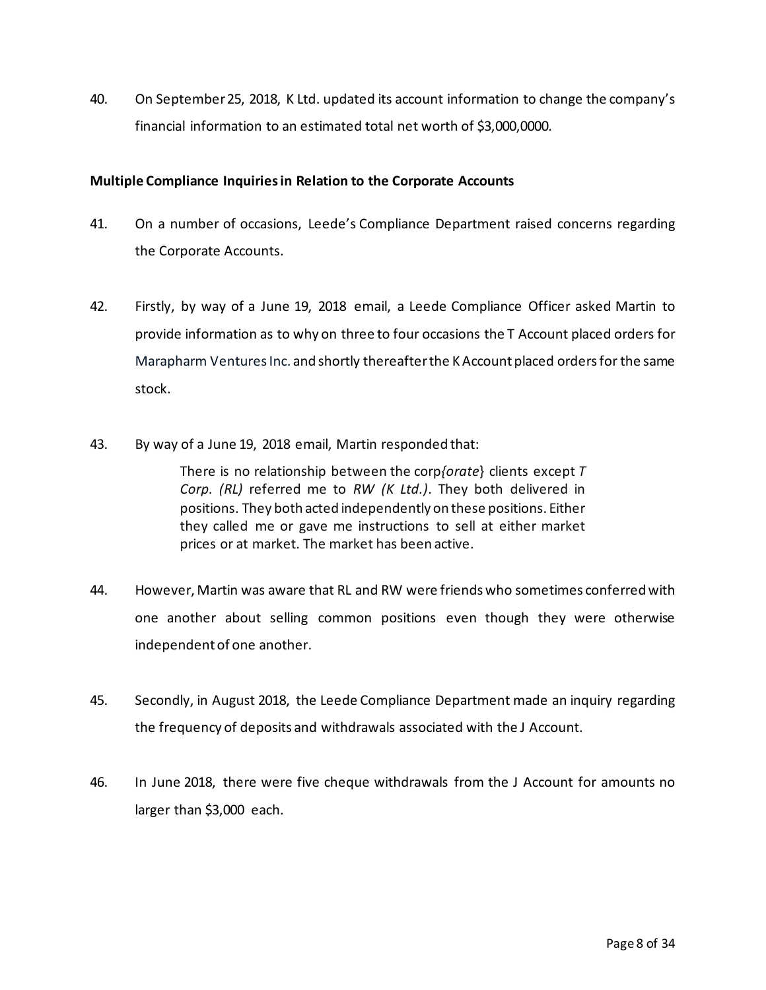40. On September 25, 2018, K Ltd. updated its account information to change the company's financial information to an estimated total net worth of \$3,000,0000.

#### **Multiple Compliance Inquiries in Relation to the Corporate Accounts**

- 41. On a number of occasions, Leede's Compliance Department raised concerns regarding the Corporate Accounts.
- 42. Firstly, by way of a June 19, 2018 email, a Leede Compliance Officer asked Martin to provide information as to why on three to four occasions the T Account placed orders for Marapharm Ventures Inc. and shortly thereafter the K Account placed orders for the same stock.
- 43. By way of a June 19, 2018 email, Martin responded that:

There is no relationship between the corp*{orate*} clients except *T Corp. (RL)* referred me to *RW (K Ltd.)*. They both delivered in positions. They both acted independently on these positions. Either they called me or gave me instructions to sell at either market prices or at market. The market has been active.

- 44. However, Martin was aware that RL and RW were friends who sometimes conferred with one another about selling common positions even though they were otherwise independent of one another.
- 45. Secondly, in August 2018, the Leede Compliance Department made an inquiry regarding the frequency of deposits and withdrawals associated with the J Account.
- 46. In June 2018, there were five cheque withdrawals from the J Account for amounts no larger than \$3,000 each.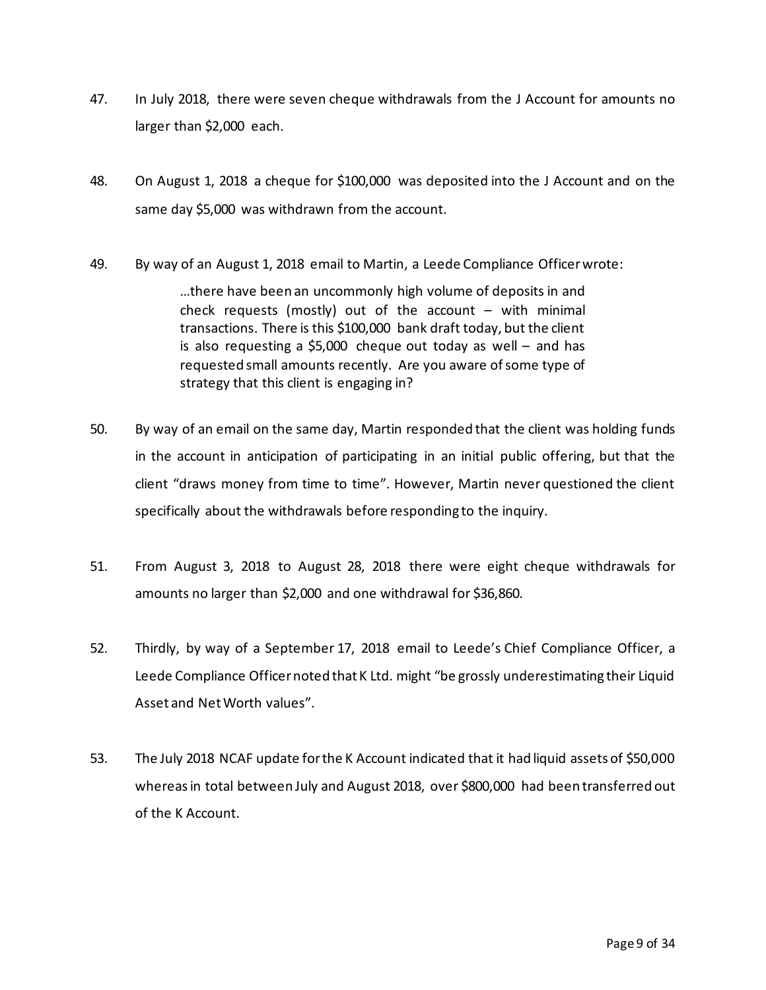- 47. In July 2018, there were seven cheque withdrawals from the J Account for amounts no larger than \$2,000 each.
- 48. On August 1, 2018 a cheque for \$100,000 was deposited into the J Account and on the same day \$5,000 was withdrawn from the account.
- 49. By way of an August 1, 2018 email to Martin, a Leede Compliance Officer wrote:

…there have been an uncommonly high volume of deposits in and check requests (mostly) out of the account  $-$  with minimal transactions. There is this \$100,000 bank draft today, but the client is also requesting a \$5,000 cheque out today as well – and has requested small amounts recently. Are you aware of some type of strategy that this client is engaging in?

- 50. By way of an email on the same day, Martin responded that the client was holding funds in the account in anticipation of participating in an initial public offering, but that the client "draws money from time to time". However, Martin never questioned the client specifically about the withdrawals before responding to the inquiry.
- 51. From August 3, 2018 to August 28, 2018 there were eight cheque withdrawals for amounts no larger than \$2,000 and one withdrawal for \$36,860.
- 52. Thirdly, by way of a September 17, 2018 email to Leede's Chief Compliance Officer, a Leede Compliance Officer noted that K Ltd. might "be grossly underestimating their Liquid Asset and Net Worth values".
- 53. The July 2018 NCAF update for the K Account indicated that it had liquid assets of \$50,000 whereas in total between July and August 2018, over \$800,000 had been transferred out of the K Account.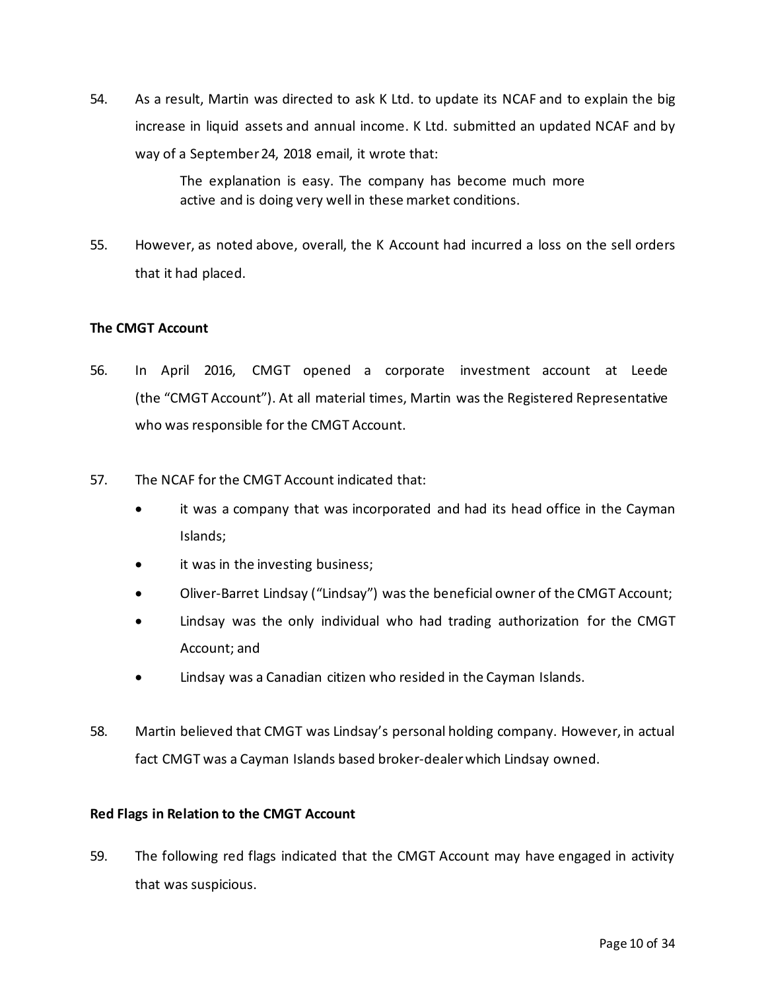54. As a result, Martin was directed to ask K Ltd. to update its NCAF and to explain the big increase in liquid assets and annual income. K Ltd. submitted an updated NCAF and by way of a September 24, 2018 email, it wrote that:

> The explanation is easy. The company has become much more active and is doing very well in these market conditions.

55. However, as noted above, overall, the K Account had incurred a loss on the sell orders that it had placed.

#### **The CMGT Account**

- 56. In April 2016, CMGT opened a corporate investment account at Leede (the "CMGT Account"). At all material times, Martin was the Registered Representative who was responsible for the CMGT Account.
- 57. The NCAF for the CMGT Account indicated that:
	- it was a company that was incorporated and had its head office in the Cayman Islands;
	- it was in the investing business;
	- Oliver-Barret Lindsay ("Lindsay") was the beneficial owner of the CMGT Account;
	- Lindsay was the only individual who had trading authorization for the CMGT Account; and
	- Lindsay was a Canadian citizen who resided in the Cayman Islands.
- 58. Martin believed that CMGT was Lindsay's personal holding company. However, in actual fact CMGT was a Cayman Islands based broker-dealer which Lindsay owned.

#### **Red Flags in Relation to the CMGT Account**

59. The following red flags indicated that the CMGT Account may have engaged in activity that was suspicious.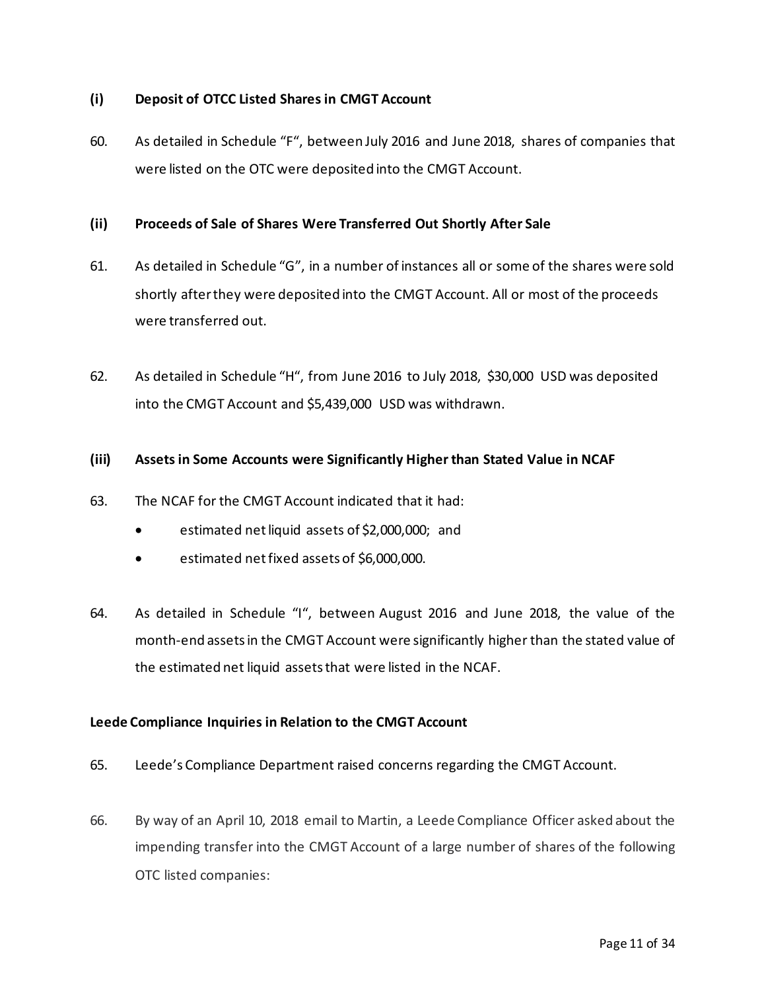#### **(i) Deposit of OTCC Listed Shares in CMGT Account**

60. As detailed in Schedule "F", between July 2016 and June 2018, shares of companies that were listed on the OTC were deposited into the CMGT Account.

#### **(ii) Proceeds of Sale of Shares Were Transferred Out Shortly After Sale**

- 61. As detailed in Schedule "G", in a number of instances all or some of the shares were sold shortly after they were deposited into the CMGT Account. All or most of the proceeds were transferred out.
- 62. As detailed in Schedule "H", from June 2016 to July 2018, \$30,000 USD was deposited into the CMGT Account and \$5,439,000 USD was withdrawn.

#### **(iii) Assets in Some Accounts were Significantly Higher than Stated Value in NCAF**

- 63. The NCAF for the CMGT Account indicated that it had:
	- estimated net liquid assets of \$2,000,000; and
	- estimated net fixed assets of \$6,000,000.
- 64. As detailed in Schedule "I", between August 2016 and June 2018, the value of the month-end assetsin the CMGT Account were significantly higher than the stated value of the estimated net liquid assets that were listed in the NCAF.

#### **Leede Compliance Inquiries in Relation to the CMGT Account**

- 65. Leede's Compliance Department raised concerns regarding the CMGT Account.
- 66. By way of an April 10, 2018 email to Martin, a Leede Compliance Officer asked about the impending transfer into the CMGT Account of a large number of shares of the following OTC listed companies: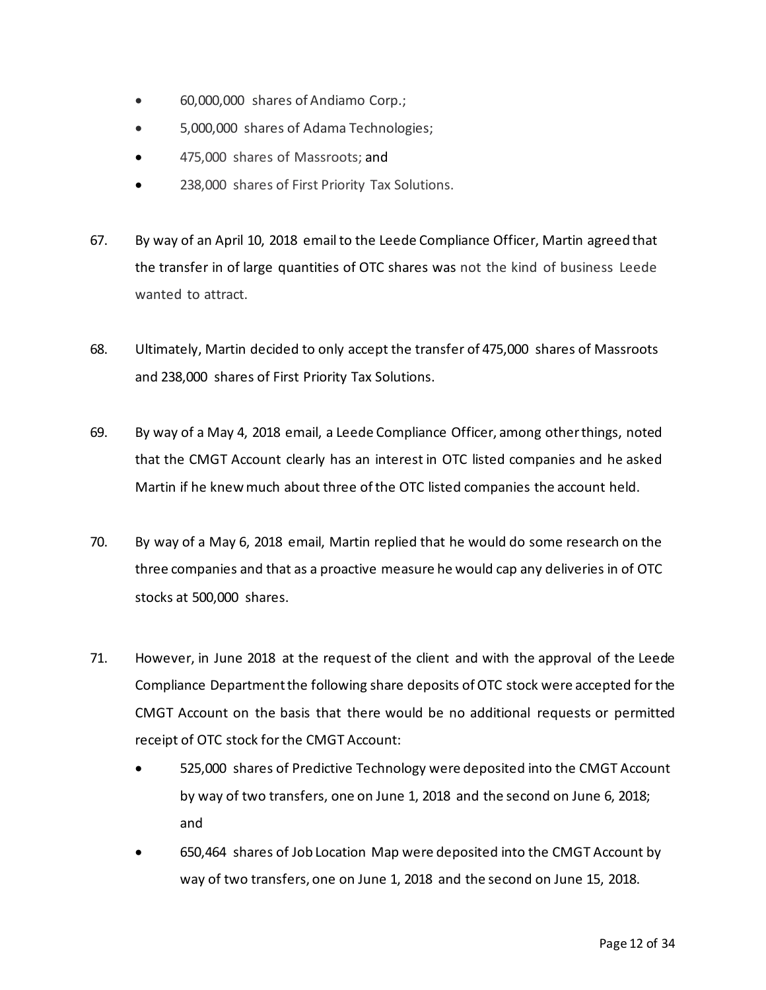- 60,000,000 shares of Andiamo Corp.;
- 5,000,000 shares of Adama Technologies;
- 475,000 shares of Massroots; and
- 238,000 shares of First Priority Tax Solutions.
- 67. By way of an April 10, 2018 email to the Leede Compliance Officer, Martin agreed that the transfer in of large quantities of OTC shares was not the kind of business Leede wanted to attract.
- 68. Ultimately, Martin decided to only accept the transfer of 475,000 shares of Massroots and 238,000 shares of First Priority Tax Solutions.
- 69. By way of a May 4, 2018 email, a Leede Compliance Officer, among other things, noted that the CMGT Account clearly has an interest in OTC listed companies and he asked Martin if he knew much about three of the OTC listed companies the account held.
- 70. By way of a May 6, 2018 email, Martin replied that he would do some research on the three companies and that as a proactive measure he would cap any deliveries in of OTC stocks at 500,000 shares.
- 71. However, in June 2018 at the request of the client and with the approval of the Leede Compliance Departmentthe following share deposits of OTC stock were accepted for the CMGT Account on the basis that there would be no additional requests or permitted receipt of OTC stock for the CMGT Account:
	- 525,000 shares of Predictive Technology were deposited into the CMGT Account by way of two transfers, one on June 1, 2018 and the second on June 6, 2018; and
	- 650,464 shares of Job Location Map were deposited into the CMGT Account by way of two transfers, one on June 1, 2018 and the second on June 15, 2018.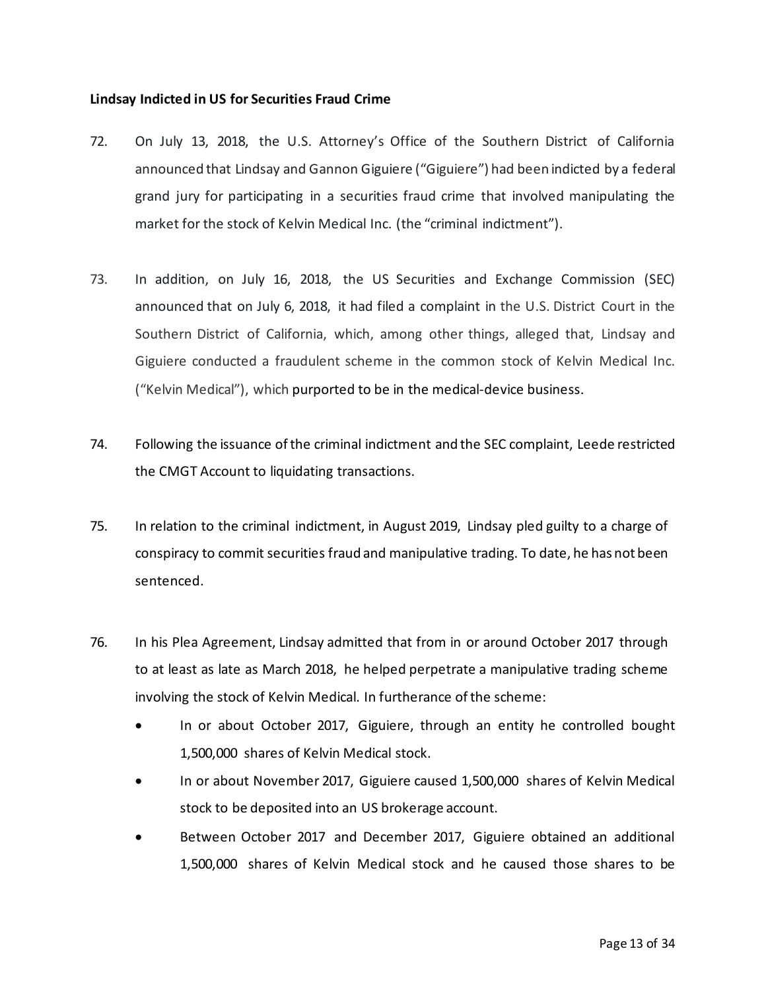#### **Lindsay Indicted in US for Securities Fraud Crime**

- 72. On July 13, 2018, the U.S. Attorney's Office of the Southern District of California announced that Lindsay and Gannon Giguiere ("Giguiere") had been indicted by a federal grand jury for participating in a securities fraud crime that involved manipulating the market for the stock of Kelvin Medical Inc. (the "criminal indictment").
- 73. In addition, on July 16, 2018, the US Securities and Exchange Commission (SEC) announced that on July 6, 2018, it had filed a complaint in the U.S. District Court in the Southern District of California, which, among other things, alleged that, Lindsay and Giguiere conducted a fraudulent scheme in the common stock of Kelvin Medical Inc. ("Kelvin Medical"), which purported to be in the medical-device business.
- 74. Following the issuance of the criminal indictment and the SEC complaint, Leede restricted the CMGT Account to liquidating transactions.
- 75. In relation to the criminal indictment, in August 2019, Lindsay pled guilty to a charge of conspiracy to commit securities fraud and manipulative trading. To date, he has not been sentenced.
- 76. In his Plea Agreement, Lindsay admitted that from in or around October 2017 through to at least as late as March 2018, he helped perpetrate a manipulative trading scheme involving the stock of Kelvin Medical. In furtherance of the scheme:
	- In or about October 2017, Giguiere, through an entity he controlled bought 1,500,000 shares of Kelvin Medical stock.
	- In or about November 2017, Giguiere caused 1,500,000 shares of Kelvin Medical stock to be deposited into an US brokerage account.
	- Between October 2017 and December 2017, Giguiere obtained an additional 1,500,000 shares of Kelvin Medical stock and he caused those shares to be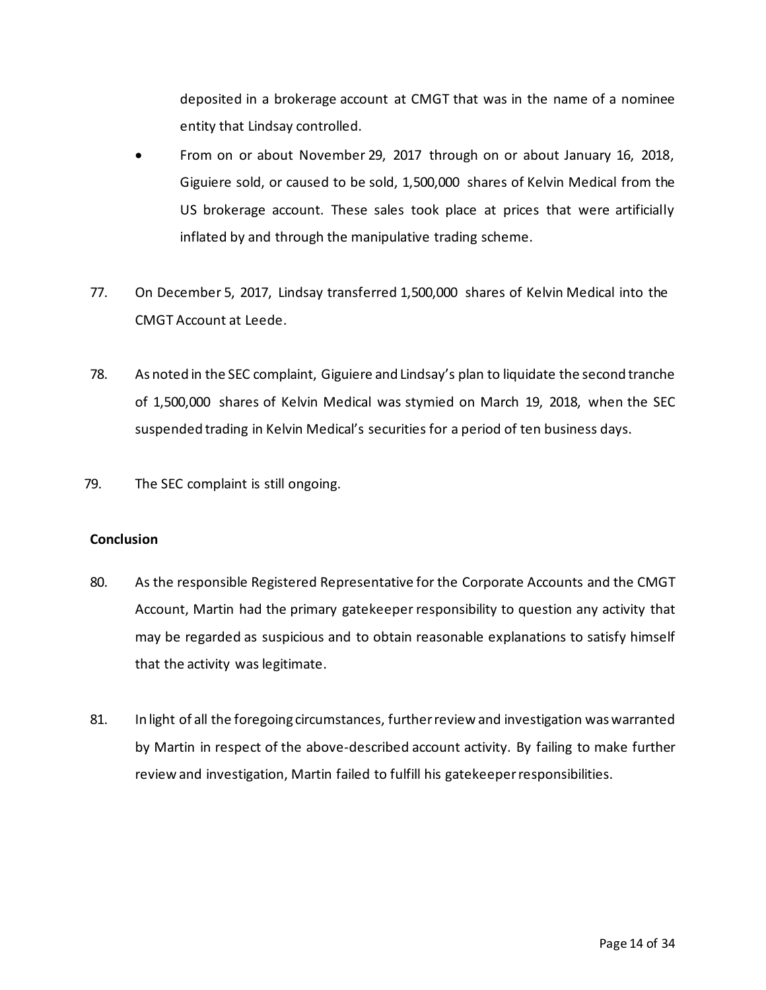deposited in a brokerage account at CMGT that was in the name of a nominee entity that Lindsay controlled.

- From on or about November 29, 2017 through on or about January 16, 2018, Giguiere sold, or caused to be sold, 1,500,000 shares of Kelvin Medical from the US brokerage account. These sales took place at prices that were artificially inflated by and through the manipulative trading scheme.
- 77. On December 5, 2017, Lindsay transferred 1,500,000 shares of Kelvin Medical into the CMGT Account at Leede.
- 78. As noted in the SEC complaint, Giguiere and Lindsay's plan to liquidate the second tranche of 1,500,000 shares of Kelvin Medical was stymied on March 19, 2018, when the SEC suspended trading in Kelvin Medical's securities for a period of ten business days.
- 79. The SEC complaint is still ongoing.

#### **Conclusion**

- 80. As the responsible Registered Representative for the Corporate Accounts and the CMGT Account, Martin had the primary gatekeeper responsibility to question any activity that may be regarded as suspicious and to obtain reasonable explanations to satisfy himself that the activity was legitimate.
- 81. In light of all the foregoing circumstances, further review and investigation was warranted by Martin in respect of the above-described account activity. By failing to make further review and investigation, Martin failed to fulfill his gatekeeper responsibilities.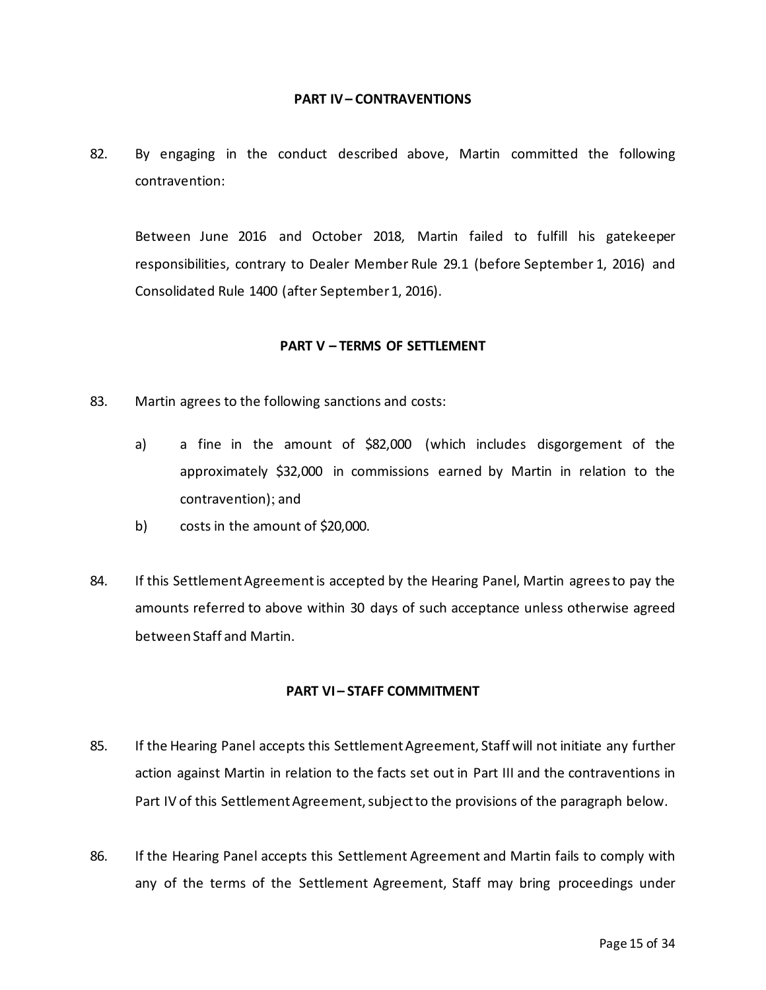#### **PART IV– CONTRAVENTIONS**

82. By engaging in the conduct described above, Martin committed the following contravention:

Between June 2016 and October 2018, Martin failed to fulfill his gatekeeper responsibilities, contrary to Dealer Member Rule 29.1 (before September 1, 2016) and Consolidated Rule 1400 (after September 1, 2016).

#### **PART V – TERMS OF SETTLEMENT**

- 83. Martin agrees to the following sanctions and costs:
	- a) a fine in the amount of \$82,000 (which includes disgorgement of the approximately \$32,000 in commissions earned by Martin in relation to the contravention); and
	- b) costs in the amount of \$20,000.
- 84. If this Settlement Agreement is accepted by the Hearing Panel, Martin agrees to pay the amounts referred to above within 30 days of such acceptance unless otherwise agreed between Staff and Martin.

#### **PART VI – STAFF COMMITMENT**

- 85. If the Hearing Panel accepts this Settlement Agreement, Staff will not initiate any further action against Martin in relation to the facts set out in Part III and the contraventions in Part IV of this Settlement Agreement, subject to the provisions of the paragraph below.
- 86. If the Hearing Panel accepts this Settlement Agreement and Martin fails to comply with any of the terms of the Settlement Agreement, Staff may bring proceedings under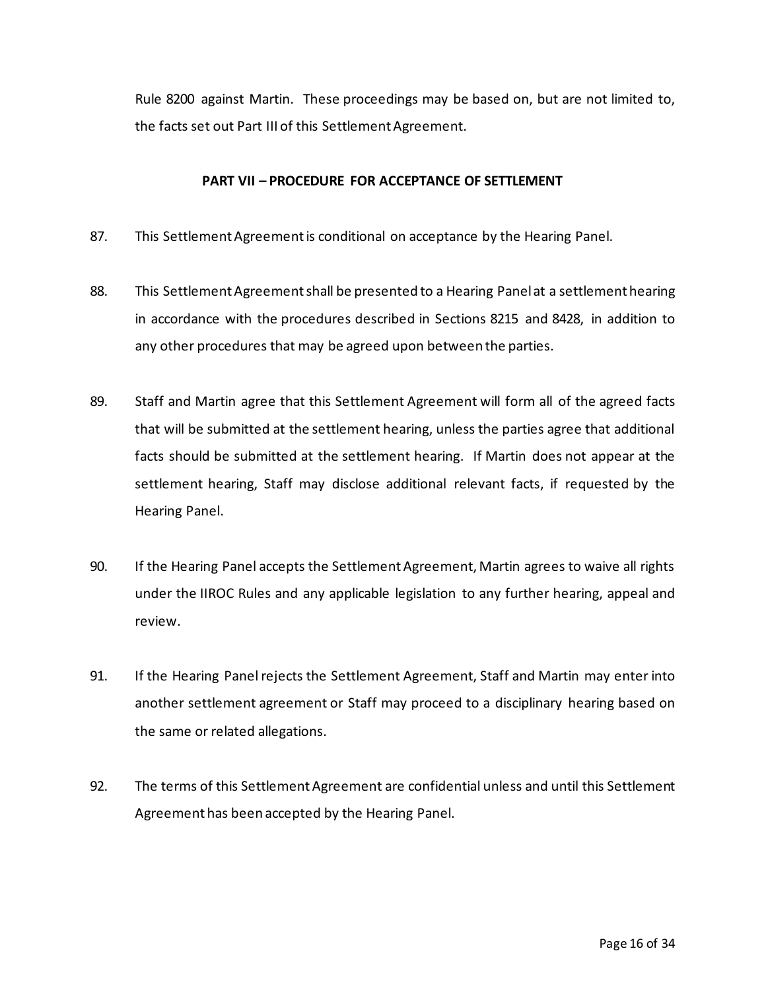Rule 8200 against Martin. These proceedings may be based on, but are not limited to, the facts set out Part III of this Settlement Agreement.

#### **PART VII – PROCEDURE FOR ACCEPTANCE OF SETTLEMENT**

- 87. This Settlement Agreement is conditional on acceptance by the Hearing Panel.
- 88. This Settlement Agreement shall be presented to a Hearing Panel at a settlement hearing in accordance with the procedures described in Sections 8215 and 8428, in addition to any other procedures that may be agreed upon between the parties.
- 89. Staff and Martin agree that this Settlement Agreement will form all of the agreed facts that will be submitted at the settlement hearing, unless the parties agree that additional facts should be submitted at the settlement hearing. If Martin does not appear at the settlement hearing, Staff may disclose additional relevant facts, if requested by the Hearing Panel.
- 90. If the Hearing Panel accepts the Settlement Agreement, Martin agrees to waive all rights under the IIROC Rules and any applicable legislation to any further hearing, appeal and review.
- 91. If the Hearing Panel rejects the Settlement Agreement, Staff and Martin may enter into another settlement agreement or Staff may proceed to a disciplinary hearing based on the same or related allegations.
- 92. The terms of this Settlement Agreement are confidential unless and until this Settlement Agreement has been accepted by the Hearing Panel.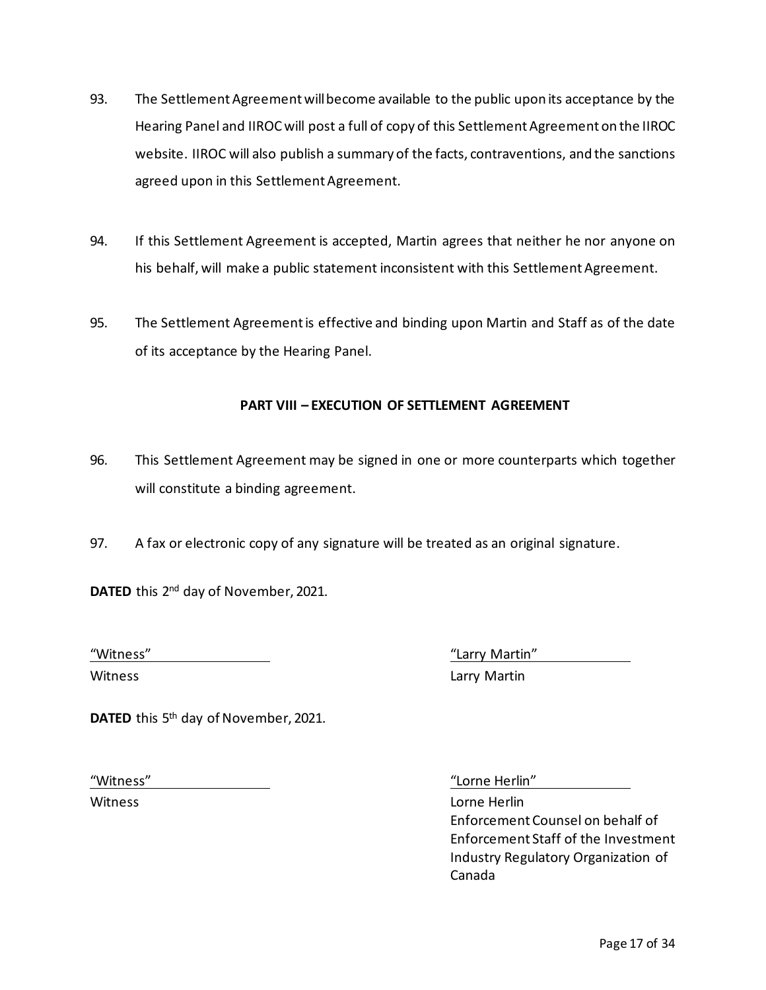- 93. The Settlement Agreement will become available to the public upon its acceptance by the Hearing Panel and IIROC will post a full of copy of this Settlement Agreement on the IIROC website. IIROC will also publish a summary of the facts, contraventions, and the sanctions agreed upon in this Settlement Agreement.
- 94. If this Settlement Agreement is accepted, Martin agrees that neither he nor anyone on his behalf, will make a public statement inconsistent with this Settlement Agreement.
- 95. The Settlement Agreement is effective and binding upon Martin and Staff as of the date of its acceptance by the Hearing Panel.

### **PART VIII – EXECUTION OF SETTLEMENT AGREEMENT**

- 96. This Settlement Agreement may be signed in one or more counterparts which together will constitute a binding agreement.
- 97. A fax or electronic copy of any signature will be treated as an original signature.

**DATED** this 2nd day of November, 2021.

"Witness" "Larry Martin"

Witness Larry Martin

**DATED** this 5th day of November, 2021.

"Witness" "Lorne Herlin"

Witness Lorne Herlin Enforcement Counsel on behalf of Enforcement Staff of the Investment Industry Regulatory Organization of Canada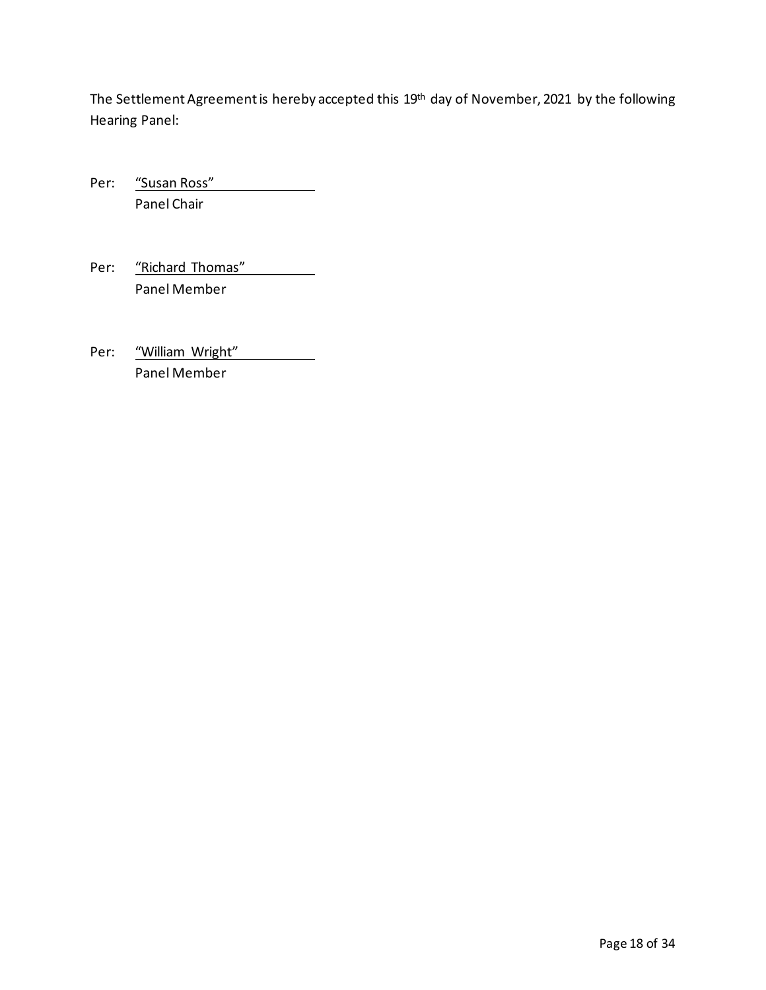The Settlement Agreement is hereby accepted this 19<sup>th</sup> day of November, 2021 by the following Hearing Panel:

Per: "Susan Ross" Panel Chair

Per: "Richard Thomas" Panel Member

Per: "William Wright" Panel Member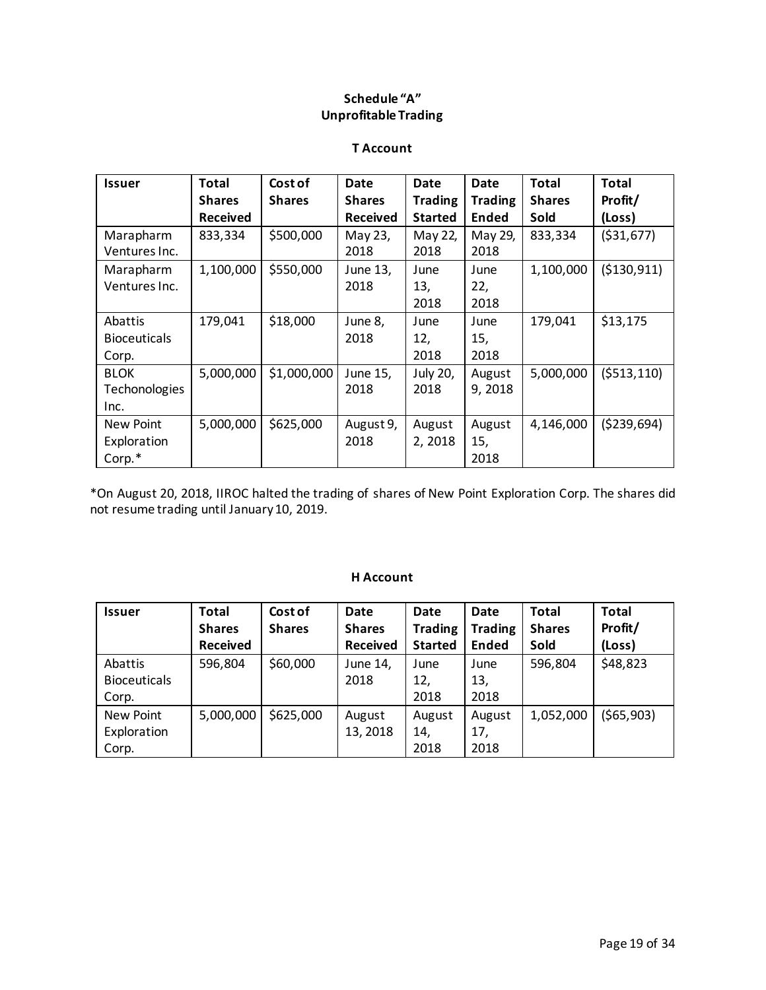## **Schedule "A" Unprofitable Trading**

#### **T Account**

| <b>Issuer</b>       | <b>Total</b>    | Cost of       | <b>Date</b>     | Date           | Date           | <b>Total</b>  | Total         |
|---------------------|-----------------|---------------|-----------------|----------------|----------------|---------------|---------------|
|                     | <b>Shares</b>   | <b>Shares</b> | <b>Shares</b>   | <b>Trading</b> | <b>Trading</b> | <b>Shares</b> | Profit/       |
|                     | <b>Received</b> |               | <b>Received</b> | <b>Started</b> | <b>Ended</b>   | Sold          | (Loss)        |
| Marapharm           | 833,334         | \$500,000     | May 23,         | May 22,        | May 29,        | 833,334       | ( \$31,677)   |
| Ventures Inc.       |                 |               | 2018            | 2018           | 2018           |               |               |
| Marapharm           | 1,100,000       | \$550,000     | June 13,        | June           | June           | 1,100,000     | ( \$130, 911) |
| Ventures Inc.       |                 |               | 2018            | 13,            | 22,            |               |               |
|                     |                 |               |                 | 2018           | 2018           |               |               |
| Abattis             | 179,041         | \$18,000      | June 8,         | June           | June           | 179,041       | \$13,175      |
| <b>Bioceuticals</b> |                 |               | 2018            | 12,            | 15,            |               |               |
| Corp.               |                 |               |                 | 2018           | 2018           |               |               |
| <b>BLOK</b>         | 5,000,000       | \$1,000,000   | June 15,        | July 20,       | August         | 5,000,000     | (5513, 110)   |
| Techonologies       |                 |               | 2018            | 2018           | 9,2018         |               |               |
| Inc.                |                 |               |                 |                |                |               |               |
| New Point           | 5,000,000       | \$625,000     | August 9,       | August         | August         | 4,146,000     | (5239, 694)   |
| Exploration         |                 |               | 2018            | 2, 2018        | 15,            |               |               |
| Corp.*              |                 |               |                 |                | 2018           |               |               |

\*On August 20, 2018, IIROC halted the trading of shares of New Point Exploration Corp. The shares did not resume trading until January 10, 2019.

#### **H Account**

| <b>Issuer</b>       | <b>Total</b>    | Cost of       | Date            | Date           | <b>Date</b>    | Total         | <b>Total</b> |
|---------------------|-----------------|---------------|-----------------|----------------|----------------|---------------|--------------|
|                     | <b>Shares</b>   | <b>Shares</b> | <b>Shares</b>   | <b>Trading</b> | <b>Trading</b> | <b>Shares</b> | Profit/      |
|                     | <b>Received</b> |               | <b>Received</b> | <b>Started</b> | <b>Ended</b>   | Sold          | (Loss)       |
| Abattis             | 596,804         | \$60,000      | June 14,        | June           | June           | 596,804       | \$48,823     |
| <b>Bioceuticals</b> |                 |               | 2018            | 12,            | 13,            |               |              |
| Corp.               |                 |               |                 | 2018           | 2018           |               |              |
| New Point           | 5,000,000       | \$625,000     | August          | August         | August         | 1,052,000     | (565,903)    |
| Exploration         |                 |               | 13, 2018        | 14,            | 17,            |               |              |
| Corp.               |                 |               |                 | 2018           | 2018           |               |              |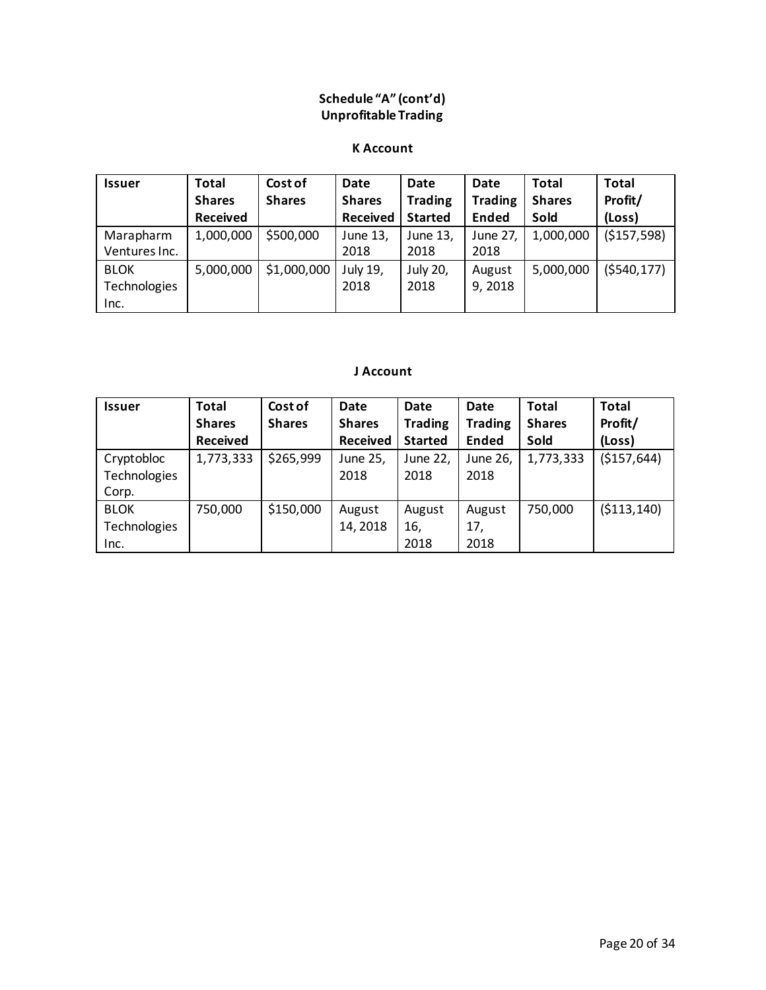## **Schedule "A" (cont'd) Unprofitable Trading**

#### **K Account**

| <b>Issuer</b>       | Total           | Cost of       | Date            | Date           | Date           | <b>Total</b>  | <b>Total</b>  |
|---------------------|-----------------|---------------|-----------------|----------------|----------------|---------------|---------------|
|                     | <b>Shares</b>   | <b>Shares</b> | <b>Shares</b>   | <b>Trading</b> | <b>Trading</b> | <b>Shares</b> | Profit/       |
|                     | <b>Received</b> |               | <b>Received</b> | <b>Started</b> | <b>Ended</b>   | Sold          | (Loss)        |
| Marapharm           | 1,000,000       | \$500,000     | June 13,        | June 13,       | June 27,       | 1,000,000     | (\$157,598)   |
| Ventures Inc.       |                 |               | 2018            | 2018           | 2018           |               |               |
| <b>BLOK</b>         | 5,000,000       | \$1,000,000   | July 19,        | July 20,       | August         | 5,000,000     | ( \$540, 177) |
| <b>Technologies</b> |                 |               | 2018            | 2018           | 9, 2018        |               |               |
| Inc.                |                 |               |                 |                |                |               |               |

#### **J Account**

| <b>Issuer</b>                              | <b>Total</b><br><b>Shares</b><br><b>Received</b> | Cost of<br><b>Shares</b> | Date<br><b>Shares</b><br><b>Received</b> | Date<br><b>Trading</b><br><b>Started</b> | Date<br><b>Trading</b><br><b>Ended</b> | Total<br><b>Shares</b><br>Sold | <b>Total</b><br>Profit/<br>(Loss) |
|--------------------------------------------|--------------------------------------------------|--------------------------|------------------------------------------|------------------------------------------|----------------------------------------|--------------------------------|-----------------------------------|
| Cryptobloc<br>Technologies<br>Corp.        | 1,773,333                                        | \$265,999                | June 25,<br>2018                         | June 22,<br>2018                         | June 26,<br>2018                       | 1,773,333                      | (\$157,644)                       |
| <b>BLOK</b><br><b>Technologies</b><br>Inc. | 750,000                                          | \$150,000                | August<br>14, 2018                       | August<br>16,<br>2018                    | August<br>17,<br>2018                  | 750,000                        | ( \$113, 140)                     |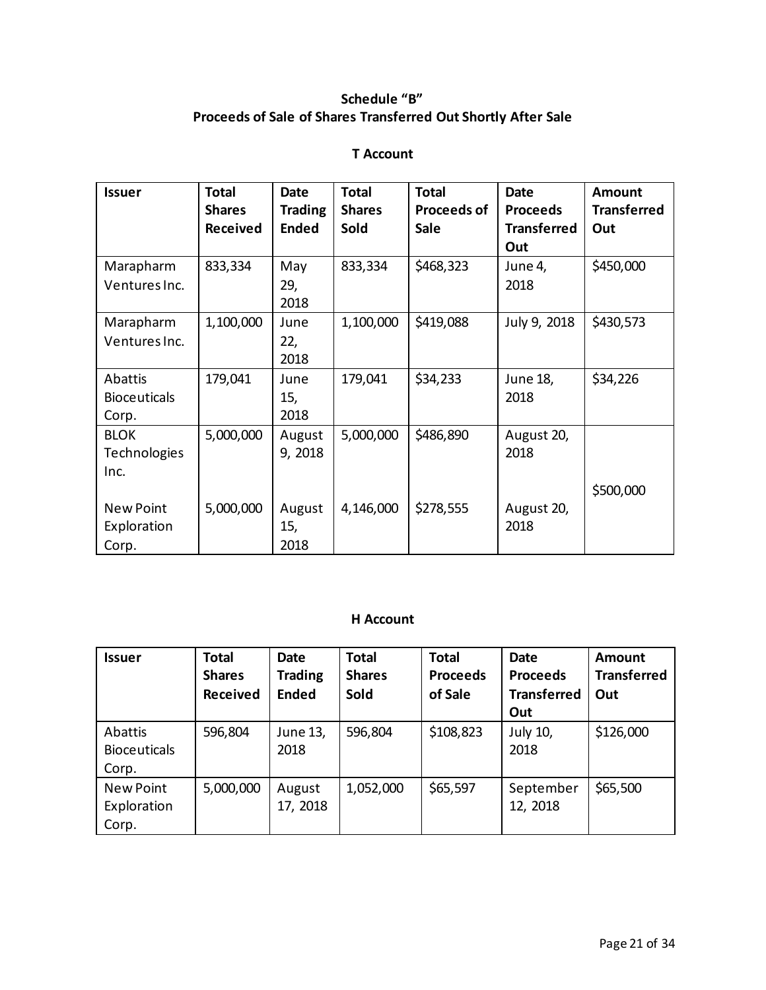## **Schedule "B" Proceeds of Sale of Shares Transferred Out Shortly After Sale**

## **T Account**

| <b>Issuer</b>       | <b>Total</b>    | <b>Date</b>    | <b>Total</b>  | <b>Total</b>       | <b>Date</b>        | <b>Amount</b>      |
|---------------------|-----------------|----------------|---------------|--------------------|--------------------|--------------------|
|                     | <b>Shares</b>   | <b>Trading</b> | <b>Shares</b> | <b>Proceeds of</b> | <b>Proceeds</b>    | <b>Transferred</b> |
|                     | <b>Received</b> | <b>Ended</b>   | Sold          | <b>Sale</b>        | <b>Transferred</b> | Out                |
|                     |                 |                |               |                    | Out                |                    |
| Marapharm           | 833,334         | May            | 833,334       | \$468,323          | June 4,            | \$450,000          |
| Ventures Inc.       |                 | 29,            |               |                    | 2018               |                    |
|                     |                 | 2018           |               |                    |                    |                    |
| Marapharm           | 1,100,000       | June           | 1,100,000     | \$419,088          | July 9, 2018       | \$430,573          |
| Ventures Inc.       |                 | 22,            |               |                    |                    |                    |
|                     |                 | 2018           |               |                    |                    |                    |
| Abattis             | 179,041         | June           | 179,041       | \$34,233           | June 18,           | \$34,226           |
| <b>Bioceuticals</b> |                 | 15,            |               |                    | 2018               |                    |
| Corp.               |                 | 2018           |               |                    |                    |                    |
| <b>BLOK</b>         | 5,000,000       | August         | 5,000,000     | \$486,890          | August 20,         |                    |
| <b>Technologies</b> |                 | 9, 2018        |               |                    | 2018               |                    |
| Inc.                |                 |                |               |                    |                    |                    |
|                     |                 |                |               |                    |                    | \$500,000          |
| <b>New Point</b>    | 5,000,000       | August         | 4,146,000     | \$278,555          | August 20,         |                    |
| Exploration         |                 | 15,            |               |                    | 2018               |                    |
| Corp.               |                 | 2018           |               |                    |                    |                    |

## **H Account**

| <b>Issuer</b>                           | <b>Total</b><br><b>Shares</b><br><b>Received</b> | <b>Date</b><br><b>Trading</b><br><b>Ended</b> | <b>Total</b><br><b>Shares</b><br>Sold | <b>Total</b><br><b>Proceeds</b><br>of Sale | <b>Date</b><br><b>Proceeds</b><br><b>Transferred</b><br>Out | Amount<br><b>Transferred</b><br>Out |
|-----------------------------------------|--------------------------------------------------|-----------------------------------------------|---------------------------------------|--------------------------------------------|-------------------------------------------------------------|-------------------------------------|
| Abattis<br><b>Bioceuticals</b><br>Corp. | 596,804                                          | June 13,<br>2018                              | 596,804                               | \$108,823                                  | July 10,<br>2018                                            | \$126,000                           |
| New Point<br>Exploration<br>Corp.       | 5,000,000                                        | August<br>17, 2018                            | 1,052,000                             | \$65,597                                   | September<br>12, 2018                                       | \$65,500                            |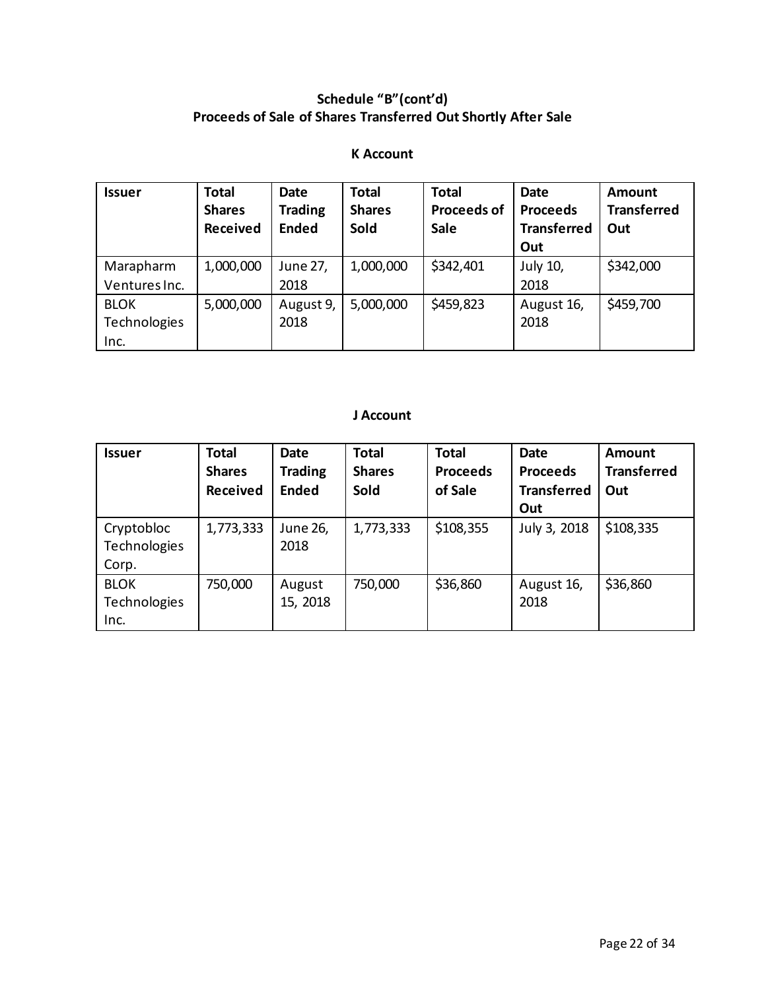# **Schedule "B"(cont'd) Proceeds of Sale of Shares Transferred Out Shortly After Sale**

## **K Account**

| <b>Issuer</b> | <b>Total</b><br><b>Shares</b><br>Received | <b>Date</b><br><b>Trading</b><br><b>Ended</b> | <b>Total</b><br><b>Shares</b><br><b>Sold</b> | <b>Total</b><br><b>Proceeds of</b><br><b>Sale</b> | <b>Date</b><br><b>Proceeds</b><br><b>Transferred</b> | <b>Amount</b><br><b>Transferred</b><br>Out |
|---------------|-------------------------------------------|-----------------------------------------------|----------------------------------------------|---------------------------------------------------|------------------------------------------------------|--------------------------------------------|
|               |                                           |                                               |                                              |                                                   | Out                                                  |                                            |
| Marapharm     | 1,000,000                                 | June 27,                                      | 1,000,000                                    | \$342,401                                         | July 10,                                             | \$342,000                                  |
| Ventures Inc. |                                           | 2018                                          |                                              |                                                   | 2018                                                 |                                            |
| <b>BLOK</b>   | 5,000,000                                 | August 9,                                     | 5,000,000                                    | \$459,823                                         | August 16,                                           | \$459,700                                  |
| Technologies  |                                           | 2018                                          |                                              |                                                   | 2018                                                 |                                            |
| Inc.          |                                           |                                               |                                              |                                                   |                                                      |                                            |

## **J Account**

| <b>Issuer</b>                       | <b>Total</b><br><b>Shares</b><br><b>Received</b> | <b>Date</b><br><b>Trading</b><br><b>Ended</b> | <b>Total</b><br><b>Shares</b><br>Sold | <b>Total</b><br><b>Proceeds</b><br>of Sale | <b>Date</b><br><b>Proceeds</b><br><b>Transferred</b><br>Out | <b>Amount</b><br><b>Transferred</b><br>Out |
|-------------------------------------|--------------------------------------------------|-----------------------------------------------|---------------------------------------|--------------------------------------------|-------------------------------------------------------------|--------------------------------------------|
| Cryptobloc<br>Technologies<br>Corp. | 1,773,333                                        | June 26,<br>2018                              | 1,773,333                             | \$108,355                                  | July 3, 2018                                                | \$108,335                                  |
| <b>BLOK</b><br>Technologies<br>Inc. | 750,000                                          | August<br>15, 2018                            | 750,000                               | \$36,860                                   | August 16,<br>2018                                          | \$36,860                                   |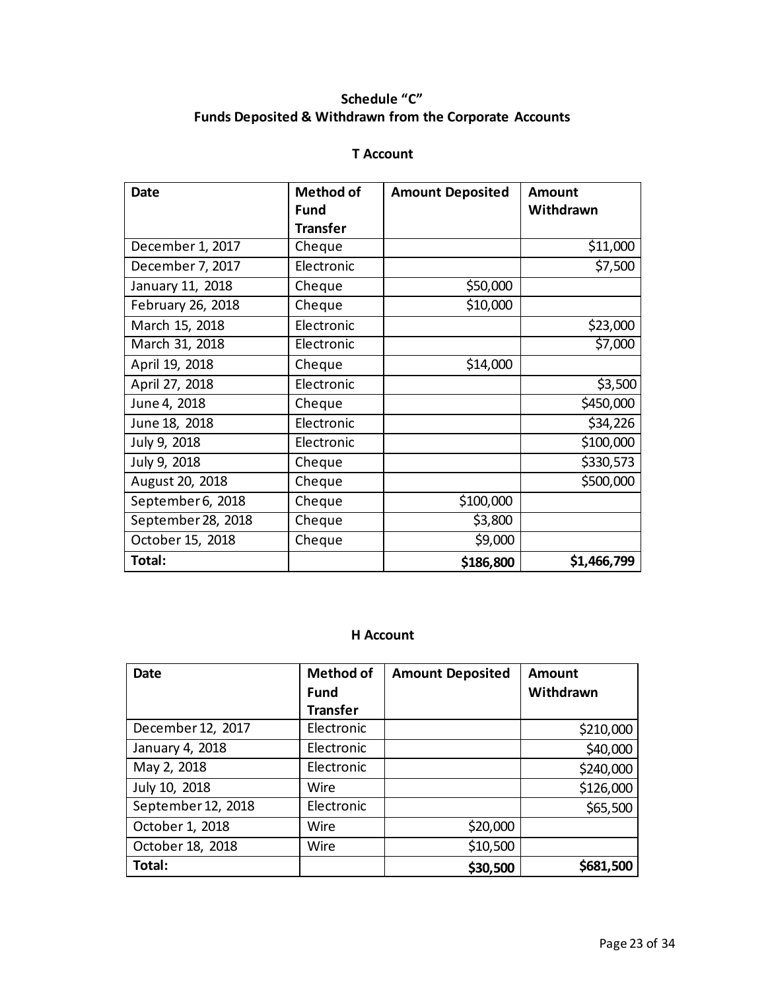## **Schedule "C" Funds Deposited & Withdrawn from the Corporate Accounts**

## **T Account**

| <b>Date</b>        | <b>Method of</b> | <b>Amount Deposited</b> | <b>Amount</b> |
|--------------------|------------------|-------------------------|---------------|
|                    | <b>Fund</b>      |                         | Withdrawn     |
|                    | <b>Transfer</b>  |                         |               |
| December 1, 2017   | Cheque           |                         | \$11,000      |
| December 7, 2017   | Electronic       |                         | \$7,500       |
| January 11, 2018   | Cheque           | \$50,000                |               |
| February 26, 2018  | Cheque           | \$10,000                |               |
| March 15, 2018     | Electronic       |                         | \$23,000      |
| March 31, 2018     | Electronic       |                         | \$7,000       |
| April 19, 2018     | Cheque           | \$14,000                |               |
| April 27, 2018     | Electronic       |                         | \$3,500       |
| June 4, 2018       | Cheque           |                         | \$450,000     |
| June 18, 2018      | Electronic       |                         | \$34,226      |
| July 9, 2018       | Electronic       |                         | \$100,000     |
| July 9, 2018       | Cheque           |                         | \$330,573     |
| August 20, 2018    | Cheque           |                         | \$500,000     |
| September 6, 2018  | Cheque           | \$100,000               |               |
| September 28, 2018 | Cheque           | \$3,800                 |               |
| October 15, 2018   | Cheque           | \$9,000                 |               |
| Total:             |                  | \$186,800               | \$1,466,799   |

### **H Account**

| Date               | <b>Method of</b> | <b>Amount Deposited</b> | <b>Amount</b> |
|--------------------|------------------|-------------------------|---------------|
|                    | <b>Fund</b>      |                         | Withdrawn     |
|                    | <b>Transfer</b>  |                         |               |
| December 12, 2017  | Electronic       |                         | \$210,000     |
| January 4, 2018    | Electronic       |                         | \$40,000      |
| May 2, 2018        | Electronic       |                         | \$240,000     |
| July 10, 2018      | Wire             |                         | \$126,000     |
| September 12, 2018 | Electronic       |                         | \$65,500      |
| October 1, 2018    | Wire             | \$20,000                |               |
| October 18, 2018   | Wire             | \$10,500                |               |
| Total:             |                  | \$30,500                | \$681,500     |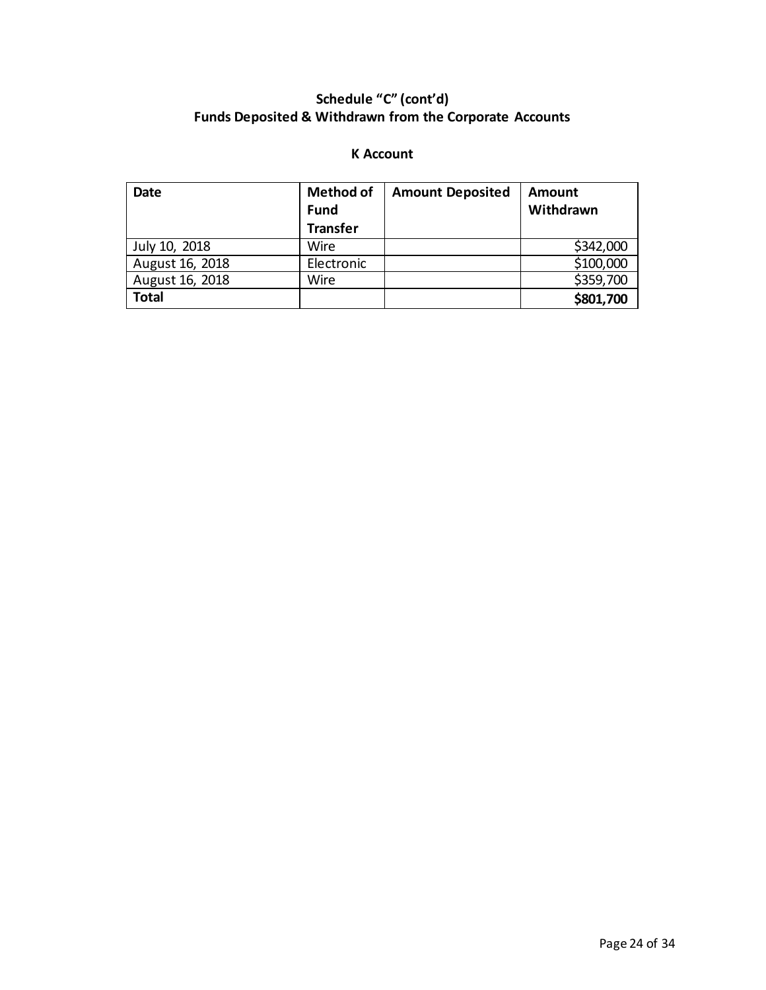# **Schedule "C" (cont'd) Funds Deposited & Withdrawn from the Corporate Accounts**

## **K Account**

| <b>Date</b>     | <b>Method of</b> | <b>Amount Deposited</b> | <b>Amount</b> |
|-----------------|------------------|-------------------------|---------------|
|                 | <b>Fund</b>      |                         | Withdrawn     |
|                 | <b>Transfer</b>  |                         |               |
| July 10, 2018   | Wire             |                         | \$342,000     |
| August 16, 2018 | Electronic       |                         | \$100,000     |
| August 16, 2018 | Wire             |                         | \$359,700     |
| <b>Total</b>    |                  |                         | \$801,700     |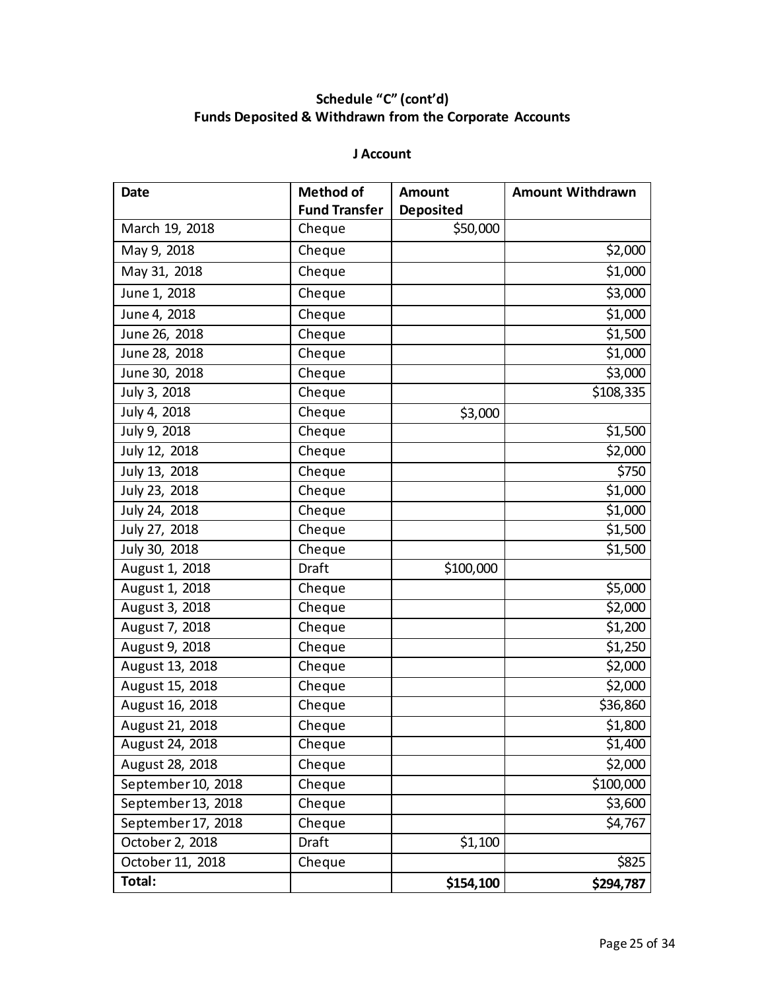# **Schedule "C" (cont'd) Funds Deposited & Withdrawn from the Corporate Accounts**

### **J Account**

| <b>Date</b>        | <b>Method of</b>     | <b>Amount</b>    | <b>Amount Withdrawn</b> |
|--------------------|----------------------|------------------|-------------------------|
|                    | <b>Fund Transfer</b> | <b>Deposited</b> |                         |
| March 19, 2018     | Cheque               | \$50,000         |                         |
| May 9, 2018        | Cheque               |                  | \$2,000                 |
| May 31, 2018       | Cheque               |                  | \$1,000                 |
| June 1, 2018       | Cheque               |                  | \$3,000                 |
| June 4, 2018       | Cheque               |                  | \$1,000                 |
| June 26, 2018      | Cheque               |                  | \$1,500                 |
| June 28, 2018      | Cheque               |                  | \$1,000                 |
| June 30, 2018      | Cheque               |                  | \$3,000                 |
| July 3, 2018       | Cheque               |                  | \$108,335               |
| July 4, 2018       | Cheque               | \$3,000          |                         |
| July 9, 2018       | Cheque               |                  | \$1,500                 |
| July 12, 2018      | Cheque               |                  | \$2,000                 |
| July 13, 2018      | Cheque               |                  | \$750                   |
| July 23, 2018      | Cheque               |                  | \$1,000                 |
| July 24, 2018      | Cheque               |                  | \$1,000                 |
| July 27, 2018      | Cheque               |                  | \$1,500                 |
| July 30, 2018      | Cheque               |                  | \$1,500                 |
| August 1, 2018     | Draft                | \$100,000        |                         |
| August 1, 2018     | Cheque               |                  | \$5,000                 |
| August 3, 2018     | Cheque               |                  | \$2,000                 |
| August 7, 2018     | Cheque               |                  | \$1,200                 |
| August 9, 2018     | Cheque               |                  | \$1,250                 |
| August 13, 2018    | Cheque               |                  | \$2,000                 |
| August 15, 2018    | Cheque               |                  | \$2,000                 |
| August 16, 2018    | Cheque               |                  | \$36,860                |
| August 21, 2018    | Cheque               |                  | \$1,800                 |
| August 24, 2018    | Cheque               |                  | \$1,400                 |
| August 28, 2018    | Cheque               |                  | \$2,000                 |
| September 10, 2018 | Cheque               |                  | \$100,000               |
| September 13, 2018 | Cheque               |                  | \$3,600                 |
| September 17, 2018 | Cheque               |                  | \$4,767                 |
| October 2, 2018    | Draft                | \$1,100          |                         |
| October 11, 2018   | Cheque               |                  | \$825                   |
| Total:             |                      | \$154,100        | \$294,787               |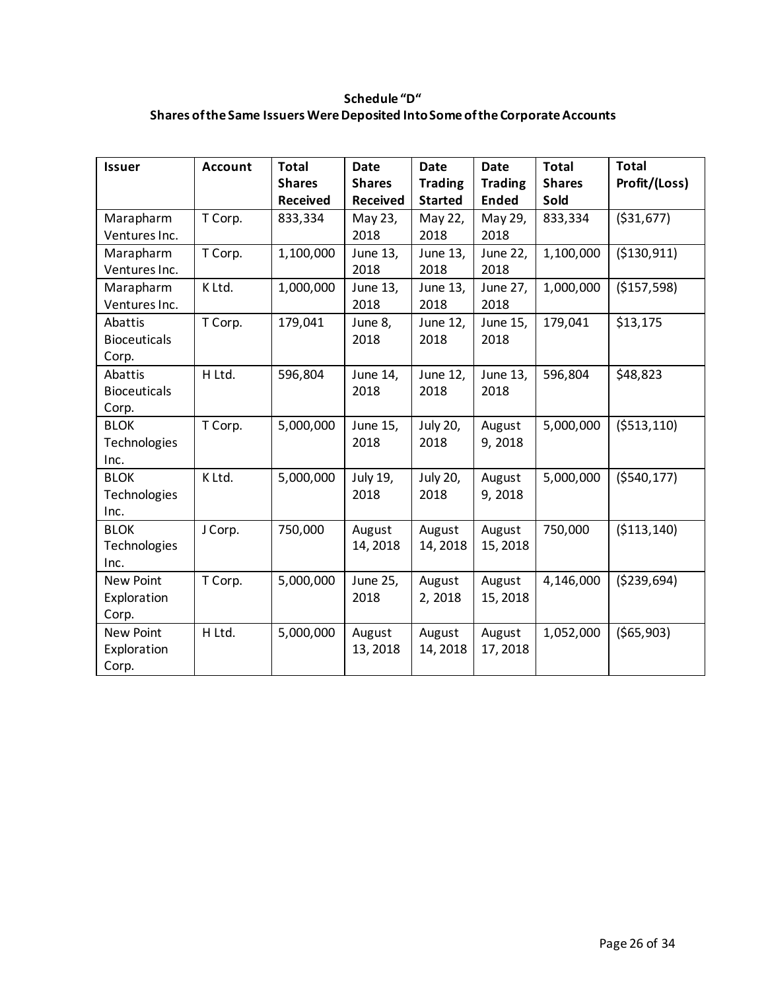## **Schedule "D" Shares of the Same Issuers Were Deposited Into Some of the Corporate Accounts**

| <b>Issuer</b>       | <b>Account</b> | <b>Total</b>    | <b>Date</b>     | <b>Date</b>    | <b>Date</b>    | <b>Total</b>  | <b>Total</b>  |
|---------------------|----------------|-----------------|-----------------|----------------|----------------|---------------|---------------|
|                     |                | <b>Shares</b>   | <b>Shares</b>   | <b>Trading</b> | <b>Trading</b> | <b>Shares</b> | Profit/(Loss) |
|                     |                | <b>Received</b> | <b>Received</b> | <b>Started</b> | <b>Ended</b>   | Sold          |               |
|                     |                |                 |                 |                |                |               |               |
| Marapharm           | T Corp.        | 833,334         | May 23,         | May 22,        | May 29,        | 833,334       | ( \$31,677)   |
| Ventures Inc.       |                |                 | 2018            | 2018           | 2018           |               |               |
| Marapharm           | T Corp.        | 1,100,000       | June 13,        | June 13,       | June 22,       | 1,100,000     | ( \$130, 911) |
| Ventures Inc.       |                |                 | 2018            | 2018           | 2018           |               |               |
| Marapharm           | K Ltd.         | 1,000,000       | June 13,        | June 13,       | June 27,       | 1,000,000     | (\$157,598)   |
| Ventures Inc.       |                |                 | 2018            | 2018           | 2018           |               |               |
| Abattis             | T Corp.        | 179,041         | June 8,         | June 12,       | June 15,       | 179,041       | \$13,175      |
| <b>Bioceuticals</b> |                |                 | 2018            | 2018           | 2018           |               |               |
| Corp.               |                |                 |                 |                |                |               |               |
| Abattis             | H Ltd.         | 596,804         | June 14,        | June 12,       | June 13,       | 596,804       | \$48,823      |
| <b>Bioceuticals</b> |                |                 | 2018            | 2018           | 2018           |               |               |
| Corp.               |                |                 |                 |                |                |               |               |
| <b>BLOK</b>         | T Corp.        | 5,000,000       | June 15,        | July 20,       | August         | 5,000,000     | ( \$513, 110) |
| Technologies        |                |                 | 2018            | 2018           | 9,2018         |               |               |
| Inc.                |                |                 |                 |                |                |               |               |
| <b>BLOK</b>         | K Ltd.         | 5,000,000       | July 19,        | July 20,       | August         | 5,000,000     | ( \$540, 177) |
| Technologies        |                |                 | 2018            | 2018           | 9,2018         |               |               |
| Inc.                |                |                 |                 |                |                |               |               |
| <b>BLOK</b>         | J Corp.        | 750,000         | August          | August         | August         | 750,000       | ( \$113, 140) |
| Technologies        |                |                 | 14, 2018        | 14, 2018       | 15, 2018       |               |               |
| Inc.                |                |                 |                 |                |                |               |               |
| <b>New Point</b>    | T Corp.        | 5,000,000       | June 25,        | August         | August         | 4,146,000     | ( \$239, 694) |
| Exploration         |                |                 | 2018            | 2,2018         | 15, 2018       |               |               |
| Corp.               |                |                 |                 |                |                |               |               |
| New Point           | H Ltd.         | 5,000,000       | August          | August         | August         | 1,052,000     | ( \$65, 903)  |
| Exploration         |                |                 | 13, 2018        | 14, 2018       | 17,2018        |               |               |
| Corp.               |                |                 |                 |                |                |               |               |
|                     |                |                 |                 |                |                |               |               |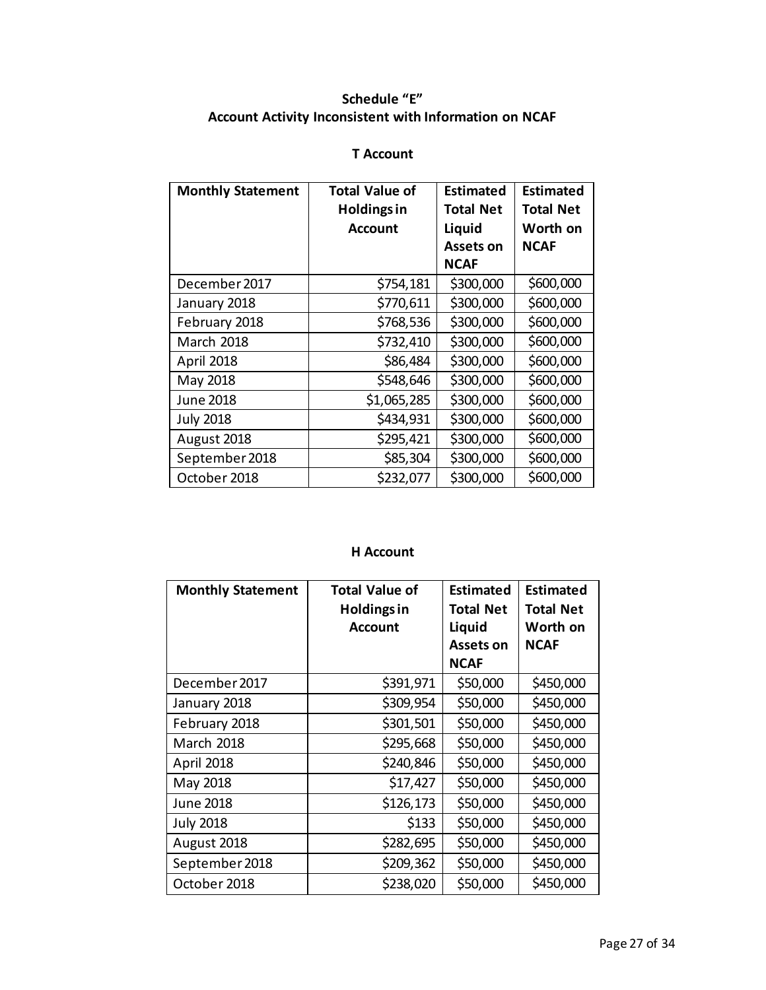## **Schedule "E" Account Activity Inconsistent with Information on NCAF**

## **T Account**

| <b>Monthly Statement</b> | <b>Total Value of</b> | <b>Estimated</b> | <b>Estimated</b> |
|--------------------------|-----------------------|------------------|------------------|
|                          | <b>Holdings in</b>    | <b>Total Net</b> | <b>Total Net</b> |
|                          | Account               | Liquid           | Worth on         |
|                          |                       | Assets on        | <b>NCAF</b>      |
|                          |                       | <b>NCAF</b>      |                  |
| December 2017            | \$754,181             | \$300,000        | \$600,000        |
| January 2018             | \$770,611             | \$300,000        | \$600,000        |
| February 2018            | \$768,536             | \$300,000        | \$600,000        |
| March 2018               | \$732,410             | \$300,000        | \$600,000        |
| April 2018               | \$86,484              | \$300,000        | \$600,000        |
| May 2018                 | \$548,646             | \$300,000        | \$600,000        |
| June 2018                | \$1,065,285           | \$300,000        | \$600,000        |
| <b>July 2018</b>         | \$434,931             | \$300,000        | \$600,000        |
| August 2018              | \$295,421             | \$300,000        | \$600,000        |
| September 2018           | \$85,304              | \$300,000        | \$600,000        |
| October 2018             | \$232,077             | \$300,000        | \$600,000        |

### **H Account**

| <b>Total Value of</b><br><b>Monthly Statement</b> |                    | <b>Estimated</b> | <b>Estimated</b> |
|---------------------------------------------------|--------------------|------------------|------------------|
|                                                   | <b>Holdings in</b> | <b>Total Net</b> | <b>Total Net</b> |
|                                                   | <b>Account</b>     | Liquid           | Worth on         |
|                                                   |                    | Assets on        | <b>NCAF</b>      |
|                                                   |                    | <b>NCAF</b>      |                  |
| December 2017                                     | \$391,971          | \$50,000         | \$450,000        |
| January 2018                                      | \$309,954          | \$50,000         | \$450,000        |
| February 2018                                     | \$301,501          | \$50,000         | \$450,000        |
| <b>March 2018</b>                                 | \$295,668          | \$50,000         | \$450,000        |
| April 2018                                        | \$240,846          | \$50,000         | \$450,000        |
| May 2018                                          | \$17,427           | \$50,000         | \$450,000        |
| June 2018                                         | \$126,173          | \$50,000         | \$450,000        |
| <b>July 2018</b>                                  | \$133              | \$50,000         | \$450,000        |
| August 2018                                       | \$282,695          | \$50,000         | \$450,000        |
| September 2018                                    | \$209,362          | \$50,000         | \$450,000        |
| October 2018                                      | \$238,020          | \$50,000         | \$450,000        |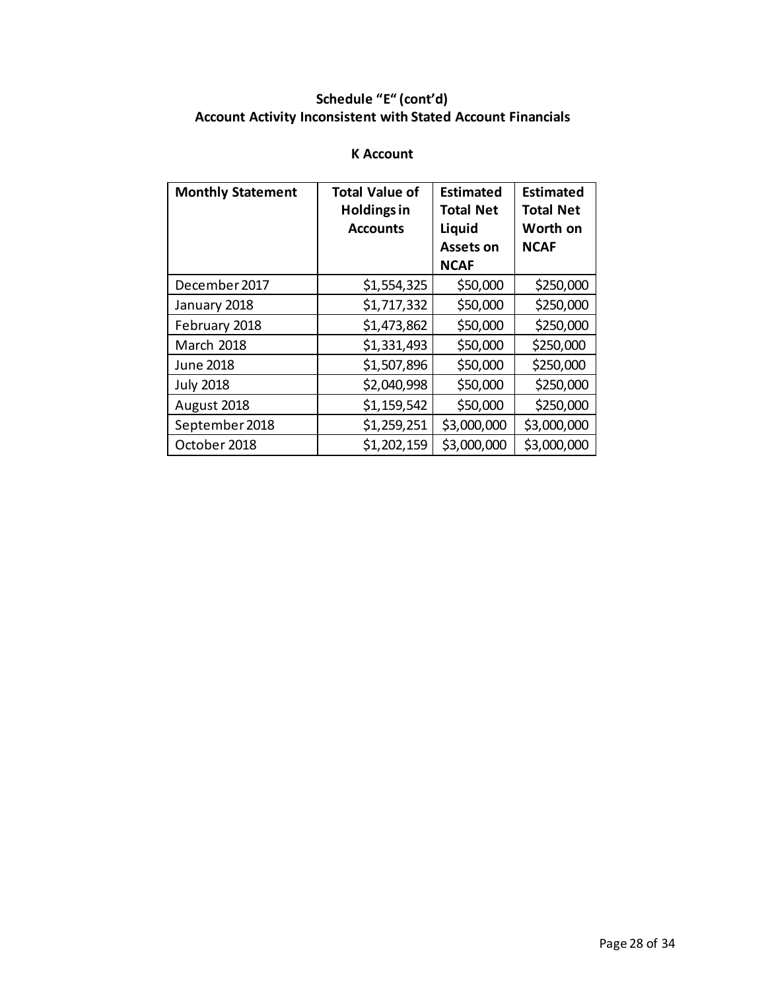# **Schedule "E" (cont'd) Account Activity Inconsistent with Stated Account Financials**

## **K Account**

| <b>Monthly Statement</b> | <b>Total Value of</b><br><b>Holdings in</b><br><b>Accounts</b> | <b>Estimated</b><br><b>Total Net</b><br>Liquid<br>Assets on | <b>Estimated</b><br><b>Total Net</b><br>Worth on<br><b>NCAF</b> |
|--------------------------|----------------------------------------------------------------|-------------------------------------------------------------|-----------------------------------------------------------------|
|                          |                                                                | <b>NCAF</b>                                                 |                                                                 |
| December 2017            | \$1,554,325                                                    | \$50,000                                                    | \$250,000                                                       |
| January 2018             | \$1,717,332                                                    | \$50,000                                                    | \$250,000                                                       |
| February 2018            | \$1,473,862                                                    | \$50,000                                                    | \$250,000                                                       |
| <b>March 2018</b>        | \$1,331,493                                                    | \$50,000                                                    | \$250,000                                                       |
| <b>June 2018</b>         | \$1,507,896                                                    | \$50,000                                                    | \$250,000                                                       |
| <b>July 2018</b>         | \$2,040,998                                                    | \$50,000                                                    | \$250,000                                                       |
| August 2018              | \$1,159,542                                                    | \$50,000                                                    | \$250,000                                                       |
| September 2018           | \$1,259,251                                                    | \$3,000,000                                                 | \$3,000,000                                                     |
| October 2018             | \$1,202,159                                                    | \$3,000,000                                                 | \$3,000,000                                                     |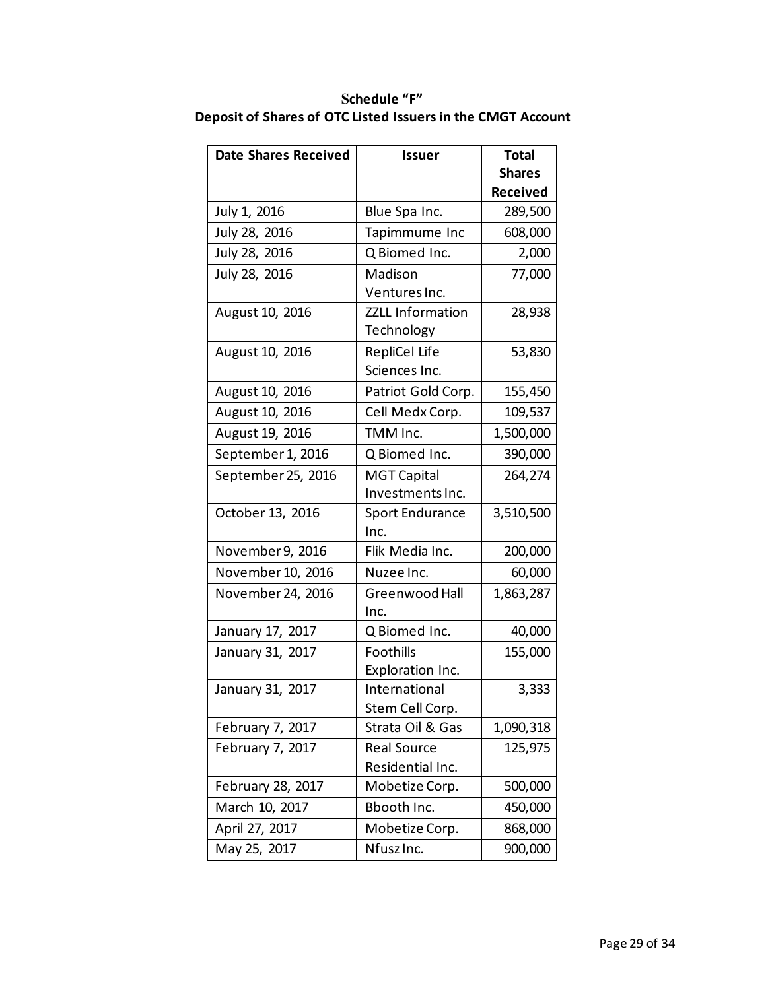| <b>Date Shares Received</b> | <b>Issuer</b>           | <b>Total</b>    |
|-----------------------------|-------------------------|-----------------|
|                             |                         | <b>Shares</b>   |
|                             |                         | <b>Received</b> |
| July 1, 2016                | Blue Spa Inc.           | 289,500         |
| July 28, 2016               | Tapimmume Inc           | 608,000         |
| July 28, 2016               | Q Biomed Inc.           | 2,000           |
| July 28, 2016               | Madison                 | 77,000          |
|                             | Ventures Inc.           |                 |
| August 10, 2016             | <b>ZZLL Information</b> | 28,938          |
|                             | Technology              |                 |
| August 10, 2016             | RepliCel Life           | 53,830          |
|                             | Sciences Inc.           |                 |
| August 10, 2016             | Patriot Gold Corp.      | 155,450         |
| August 10, 2016             | Cell Medx Corp.         | 109,537         |
| August 19, 2016             | TMM Inc.                | 1,500,000       |
| September 1, 2016           | Q Biomed Inc.           | 390,000         |
| September 25, 2016          | <b>MGT Capital</b>      | 264,274         |
|                             | Investments Inc.        |                 |
| October 13, 2016            | <b>Sport Endurance</b>  | 3,510,500       |
|                             | Inc.                    |                 |
| November 9, 2016            | Flik Media Inc.         | 200,000         |
| November 10, 2016           | Nuzee Inc.              | 60,000          |
| November 24, 2016           | Greenwood Hall          | 1,863,287       |
|                             | Inc.                    |                 |
| January 17, 2017            | Q Biomed Inc.           | 40,000          |
| January 31, 2017            | Foothills               | 155,000         |
|                             | Exploration Inc.        |                 |
| January 31, 2017            | International           | 3,333           |
|                             | Stem Cell Corp.         |                 |
| February 7, 2017            | Strata Oil & Gas        | 1,090,318       |
| February 7, 2017            | <b>Real Source</b>      | 125,975         |
|                             | Residential Inc.        |                 |
| February 28, 2017           | Mobetize Corp.          | 500,000         |
| March 10, 2017              | Bbooth Inc.             | 450,000         |
| April 27, 2017              | Mobetize Corp.          | 868,000         |
| May 25, 2017                | Nfusz Inc.              | 900,000         |

## **Schedule "F" Deposit of Shares of OTC Listed Issuers in the CMGT Account**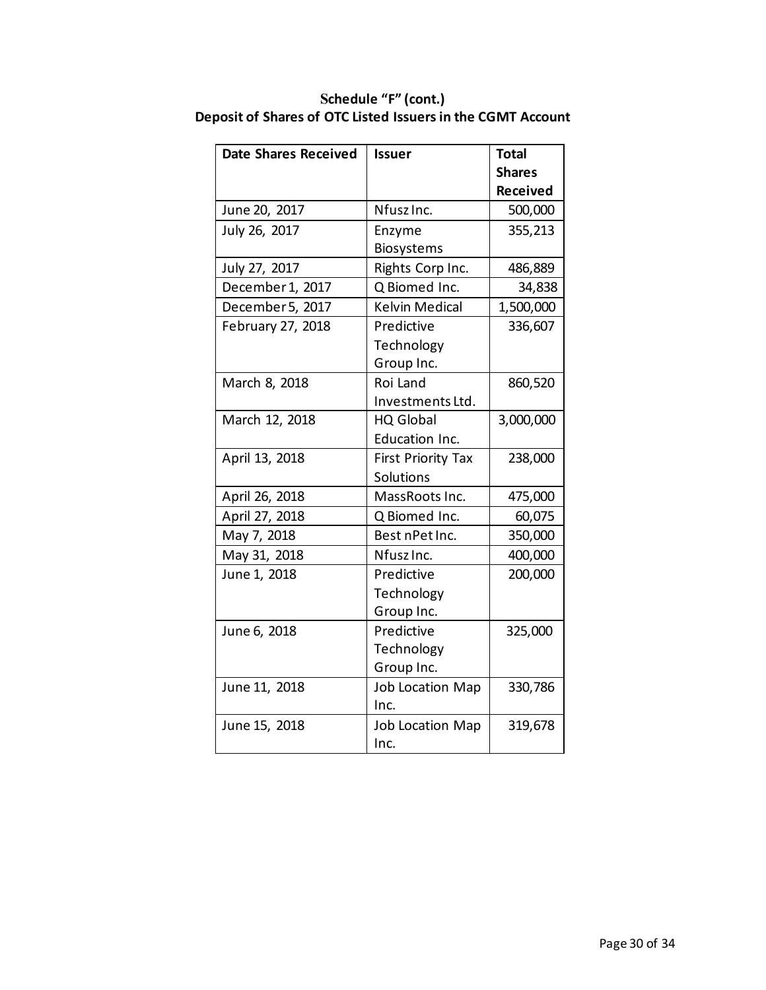| <b>Date Shares Received</b> | <b>Issuer</b>             | <b>Total</b>    |
|-----------------------------|---------------------------|-----------------|
|                             |                           | <b>Shares</b>   |
|                             |                           | <b>Received</b> |
| June 20, 2017               | Nfusz Inc.                | 500,000         |
| July 26, 2017               | Enzyme                    | 355,213         |
|                             | Biosystems                |                 |
| July 27, 2017               | Rights Corp Inc.          | 486,889         |
| December 1, 2017            | Q Biomed Inc.             | 34,838          |
| December 5, 2017            | <b>Kelvin Medical</b>     | 1,500,000       |
| February 27, 2018           | Predictive                | 336,607         |
|                             | Technology                |                 |
|                             | Group Inc.                |                 |
| March 8, 2018               | Roi Land                  | 860,520         |
|                             | Investments Ltd.          |                 |
| March 12, 2018              | <b>HQ Global</b>          | 3,000,000       |
|                             | <b>Education Inc.</b>     |                 |
| April 13, 2018              | <b>First Priority Tax</b> | 238,000         |
|                             | Solutions                 |                 |
| April 26, 2018              | MassRoots Inc.            | 475,000         |
| April 27, 2018              | Q Biomed Inc.             | 60,075          |
| May 7, 2018                 | Best nPet Inc.            | 350,000         |
| May 31, 2018                | Nfusz Inc.                | 400,000         |
| June 1, 2018                | Predictive                | 200,000         |
|                             | Technology                |                 |
|                             | Group Inc.                |                 |
| June 6, 2018                | Predictive                | 325,000         |
|                             | Technology                |                 |
|                             | Group Inc.                |                 |
| June 11, 2018               | <b>Job Location Map</b>   | 330,786         |
|                             | Inc.                      |                 |
| June 15, 2018               | <b>Job Location Map</b>   | 319,678         |
|                             | Inc.                      |                 |

**Schedule "F" (cont.) Deposit of Shares of OTC Listed Issuers in the CGMT Account**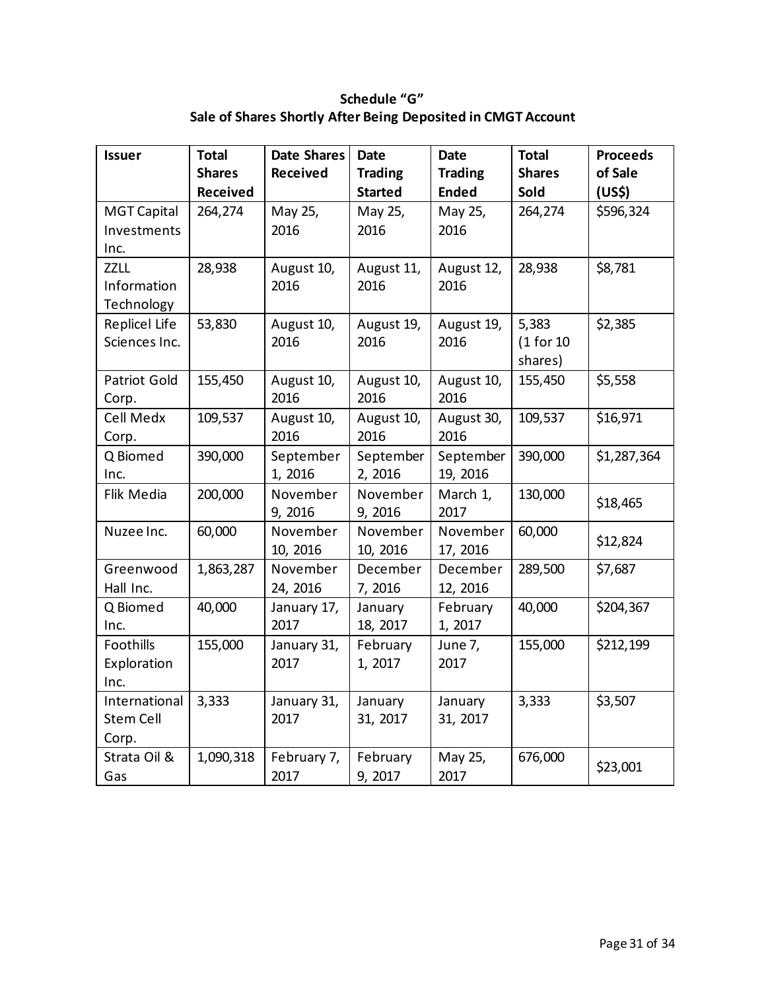**Schedule "G" Sale of Shares Shortly After Being Deposited in CMGT Account** 

| <b>Issuer</b>      | <b>Total</b>  | <b>Date Shares</b> | <b>Date</b>    | <b>Date</b>    | <b>Total</b>  | <b>Proceeds</b> |
|--------------------|---------------|--------------------|----------------|----------------|---------------|-----------------|
|                    | <b>Shares</b> | <b>Received</b>    | <b>Trading</b> | <b>Trading</b> | <b>Shares</b> | of Sale         |
|                    | Received      |                    | <b>Started</b> | <b>Ended</b>   | Sold          | (US\$)          |
| <b>MGT Capital</b> | 264,274       | May 25,            | May 25,        | May 25,        | 264,274       | \$596,324       |
| Investments        |               | 2016               | 2016           | 2016           |               |                 |
| Inc.               |               |                    |                |                |               |                 |
| <b>ZZLL</b>        | 28,938        | August 10,         | August 11,     | August 12,     | 28,938        | \$8,781         |
| Information        |               | 2016               | 2016           | 2016           |               |                 |
| Technology         |               |                    |                |                |               |                 |
| Replicel Life      | 53,830        | August 10,         | August 19,     | August 19,     | 5,383         | \$2,385         |
| Sciences Inc.      |               | 2016               | 2016           | 2016           | (1 for 10     |                 |
|                    |               |                    |                |                | shares)       |                 |
| Patriot Gold       | 155,450       | August 10,         | August 10,     | August 10,     | 155,450       | \$5,558         |
| Corp.              |               | 2016               | 2016           | 2016           |               |                 |
| Cell Medx          | 109,537       | August 10,         | August 10,     | August 30,     | 109,537       | \$16,971        |
| Corp.              |               | 2016               | 2016           | 2016           |               |                 |
| Q Biomed           | 390,000       | September          | September      | September      | 390,000       | \$1,287,364     |
| Inc.               |               | 1,2016             | 2, 2016        | 19, 2016       |               |                 |
| Flik Media         | 200,000       | November           | November       | March 1,       | 130,000       | \$18,465        |
|                    |               | 9, 2016            | 9, 2016        | 2017           |               |                 |
| Nuzee Inc.         | 60,000        | November           | November       | November       | 60,000        | \$12,824        |
|                    |               | 10, 2016           | 10, 2016       | 17, 2016       |               |                 |
| Greenwood          | 1,863,287     | November           | December       | December       | 289,500       | \$7,687         |
| Hall Inc.          |               | 24, 2016           | 7, 2016        | 12, 2016       |               |                 |
| Q Biomed           | 40,000        | January 17,        | January        | February       | 40,000        | \$204,367       |
| Inc.               |               | 2017               | 18, 2017       | 1, 2017        |               |                 |
| Foothills          | 155,000       | January 31,        | February       | June 7,        | 155,000       | \$212,199       |
| Exploration        |               | 2017               | 1, 2017        | 2017           |               |                 |
| Inc.               |               |                    |                |                |               |                 |
| International      | 3,333         | January 31,        | January        | January        | 3,333         | \$3,507         |
| <b>Stem Cell</b>   |               | 2017               | 31, 2017       | 31, 2017       |               |                 |
| Corp.              |               |                    |                |                |               |                 |
| Strata Oil &       | 1,090,318     | February 7,        | February       | May 25,        | 676,000       |                 |
| Gas                |               | 2017               | 9, 2017        | 2017           |               | \$23,001        |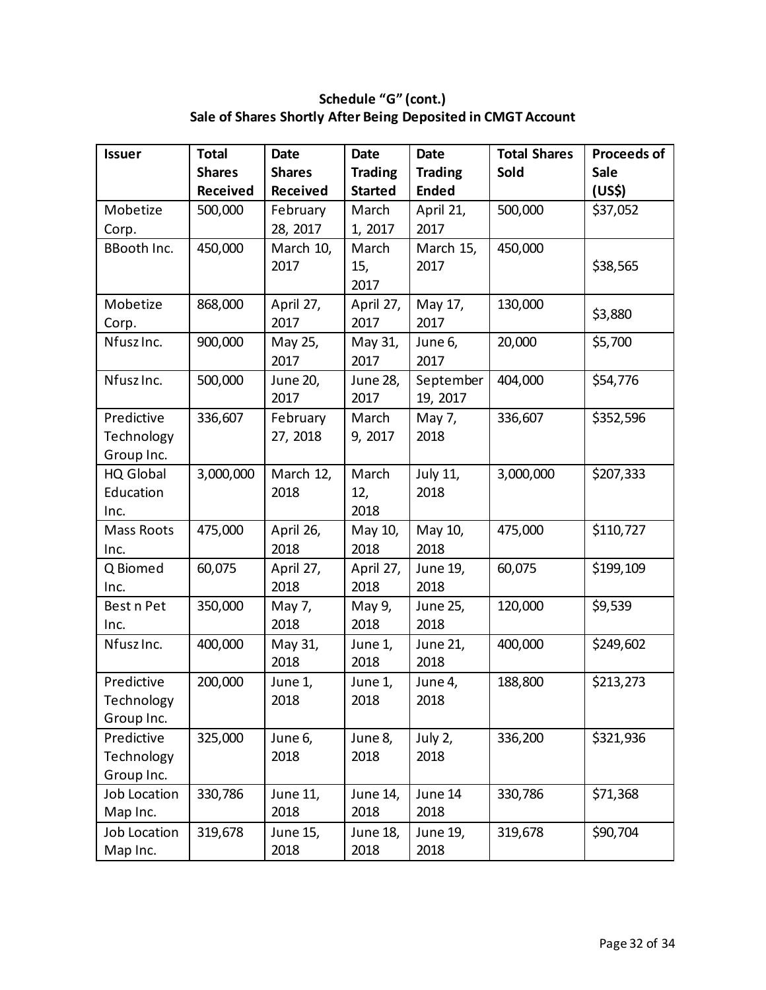**Schedule "G" (cont.) Sale of Shares Shortly After Being Deposited in CMGT Account** 

| <b>Issuer</b>       | <b>Total</b>    | <b>Date</b>   | <b>Date</b>    | <b>Date</b>    | <b>Total Shares</b> | <b>Proceeds of</b> |
|---------------------|-----------------|---------------|----------------|----------------|---------------------|--------------------|
|                     | <b>Shares</b>   | <b>Shares</b> | <b>Trading</b> | <b>Trading</b> | Sold                | <b>Sale</b>        |
|                     | <b>Received</b> | Received      | <b>Started</b> | <b>Ended</b>   |                     | (US\$)             |
| Mobetize            | 500,000         | February      | March          | April 21,      | 500,000             | \$37,052           |
| Corp.               |                 | 28, 2017      | 1, 2017        | 2017           |                     |                    |
| <b>BBooth Inc.</b>  | 450,000         | March 10,     | March          | March 15,      | 450,000             |                    |
|                     |                 | 2017          | 15,            | 2017           |                     | \$38,565           |
|                     |                 |               | 2017           |                |                     |                    |
| Mobetize            | 868,000         | April 27,     | April 27,      | May 17,        | 130,000             | \$3,880            |
| Corp.               |                 | 2017          | 2017           | 2017           |                     |                    |
| Nfusz Inc.          | 900,000         | May 25,       | May 31,        | June 6,        | 20,000              | \$5,700            |
|                     |                 | 2017          | 2017           | 2017           |                     |                    |
| Nfusz Inc.          | 500,000         | June 20,      | June 28,       | September      | 404,000             | \$54,776           |
|                     |                 | 2017          | 2017           | 19, 2017       |                     |                    |
| Predictive          | 336,607         | February      | March          | May 7,         | 336,607             | \$352,596          |
| Technology          |                 | 27, 2018      | 9, 2017        | 2018           |                     |                    |
| Group Inc.          |                 |               |                |                |                     |                    |
| HQ Global           | 3,000,000       | March 12,     | March          | July 11,       | 3,000,000           | \$207,333          |
| Education           |                 | 2018          | 12,            | 2018           |                     |                    |
| Inc.                |                 |               | 2018           |                |                     |                    |
| Mass Roots          | 475,000         | April 26,     | May 10,        | May 10,        | 475,000             | \$110,727          |
| Inc.                |                 | 2018          | 2018           | 2018           |                     |                    |
| Q Biomed            | 60,075          | April 27,     | April 27,      | June 19,       | 60,075              | \$199,109          |
| Inc.                |                 | 2018          | 2018           | 2018           |                     |                    |
| Best n Pet          | 350,000         | May 7,        | May 9,         | June 25,       | 120,000             | \$9,539            |
| Inc.                |                 | 2018          | 2018           | 2018           |                     |                    |
| Nfusz Inc.          | 400,000         | May 31,       | June 1,        | June 21,       | 400,000             | \$249,602          |
|                     |                 | 2018          | 2018           | 2018           |                     |                    |
| Predictive          | 200,000         | June 1,       | June 1,        | June 4,        | 188,800             | \$213,273          |
| Technology          |                 | 2018          | 2018           | 2018           |                     |                    |
| Group Inc.          |                 |               |                |                |                     |                    |
| Predictive          | 325,000         | June 6,       | June 8,        | July 2,        | 336,200             | \$321,936          |
| Technology          |                 | 2018          | 2018           | 2018           |                     |                    |
| Group Inc.          |                 |               |                |                |                     |                    |
| Job Location        | 330,786         | June 11,      | June 14,       | June 14        | 330,786             | \$71,368           |
| Map Inc.            |                 | 2018          | 2018           | 2018           |                     |                    |
| <b>Job Location</b> | 319,678         | June 15,      | June 18,       | June 19,       | 319,678             | \$90,704           |
| Map Inc.            |                 | 2018          | 2018           | 2018           |                     |                    |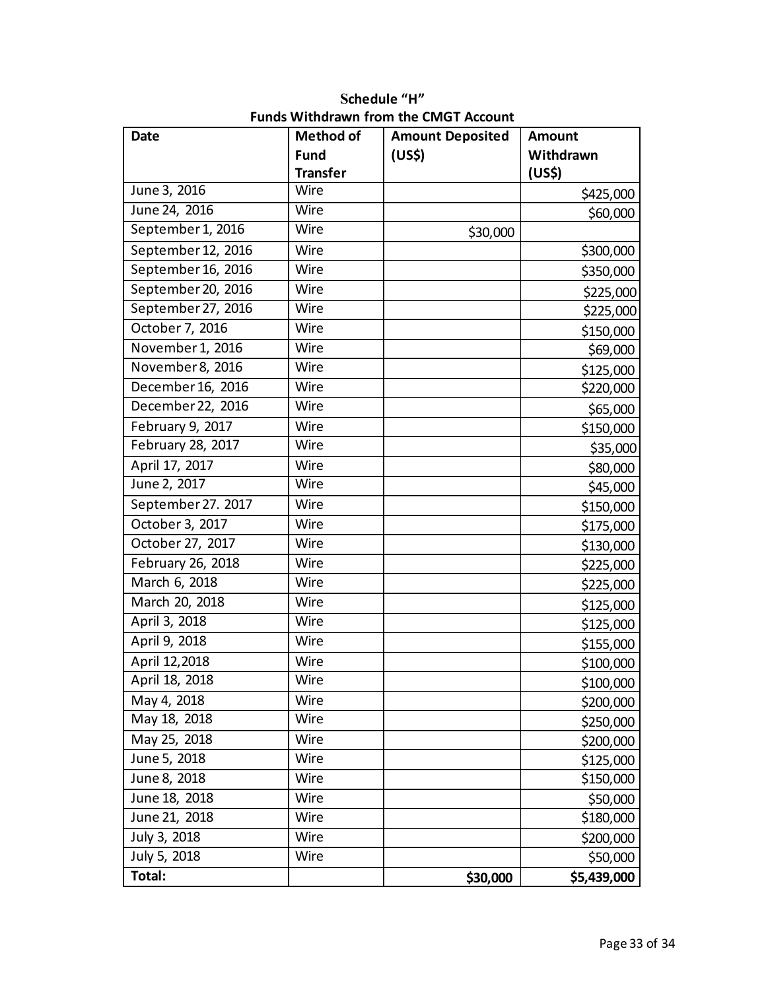| <b>Date</b>        | <b>Method of</b> | <b>Amount Deposited</b> | <b>Amount</b> |
|--------------------|------------------|-------------------------|---------------|
|                    | <b>Fund</b>      | (US\$)                  | Withdrawn     |
|                    | <b>Transfer</b>  |                         | (US\$)        |
| June 3, 2016       | Wire             |                         | \$425,000     |
| June 24, 2016      | Wire             |                         | \$60,000      |
| September 1, 2016  | Wire             | \$30,000                |               |
| September 12, 2016 | Wire             |                         | \$300,000     |
| September 16, 2016 | Wire             |                         | \$350,000     |
| September 20, 2016 | Wire             |                         | \$225,000     |
| September 27, 2016 | Wire             |                         | \$225,000     |
| October 7, 2016    | Wire             |                         | \$150,000     |
| November 1, 2016   | Wire             |                         | \$69,000      |
| November 8, 2016   | Wire             |                         | \$125,000     |
| December 16, 2016  | Wire             |                         | \$220,000     |
| December 22, 2016  | Wire             |                         | \$65,000      |
| February 9, 2017   | Wire             |                         | \$150,000     |
| February 28, 2017  | Wire             |                         | \$35,000      |
| April 17, 2017     | Wire             |                         | \$80,000      |
| June 2, 2017       | Wire             |                         | \$45,000      |
| September 27. 2017 | Wire             |                         | \$150,000     |
| October 3, 2017    | Wire             |                         | \$175,000     |
| October 27, 2017   | Wire             |                         | \$130,000     |
| February 26, 2018  | Wire             |                         | \$225,000     |
| March 6, 2018      | Wire             |                         | \$225,000     |
| March 20, 2018     | Wire             |                         | \$125,000     |
| April 3, 2018      | Wire             |                         | \$125,000     |
| April 9, 2018      | Wire             |                         | \$155,000     |
| April 12,2018      | Wire             |                         | \$100,000     |
| April 18, 2018     | Wire             |                         | \$100,000     |
| May 4, 2018        | Wire             |                         | \$200,000     |
| May 18, 2018       | Wire             |                         | \$250,000     |
| May 25, 2018       | Wire             |                         | \$200,000     |
| June 5, 2018       | Wire             |                         | \$125,000     |
| June 8, 2018       | Wire             |                         | \$150,000     |
| June 18, 2018      | Wire             |                         | \$50,000      |
| June 21, 2018      | Wire             |                         | \$180,000     |
| July 3, 2018       | Wire             |                         | \$200,000     |
| July 5, 2018       | Wire             |                         | \$50,000      |
| Total:             |                  | \$30,000                | \$5,439,000   |

**Schedule "H" Funds Withdrawn from the CMGT Account**